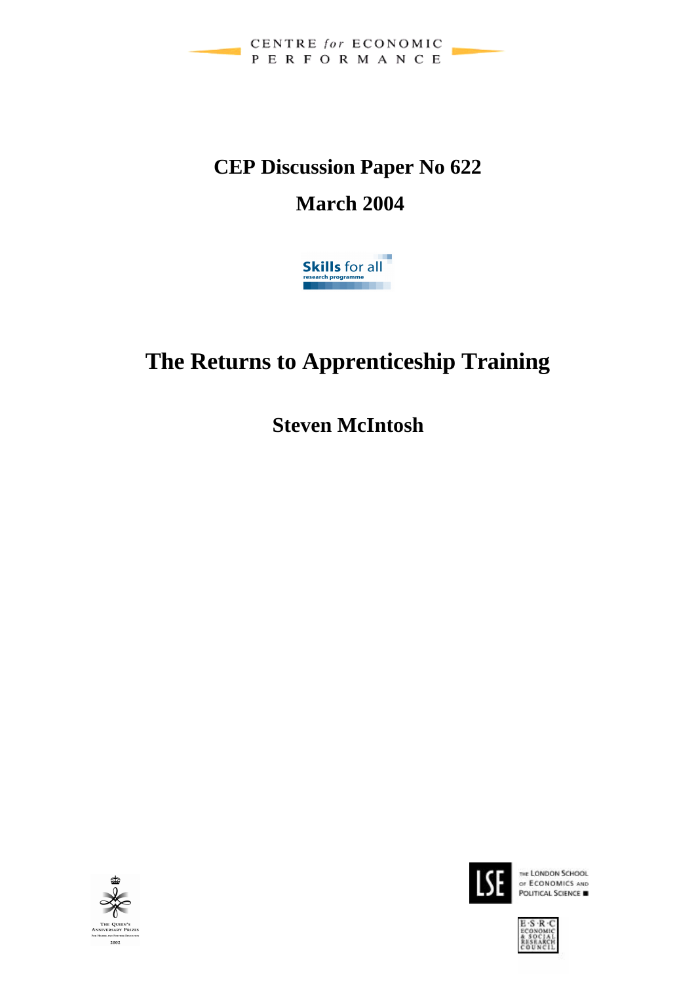

# **CEP Discussion Paper No 622 March 2004**

**Skills** for all research programme

# **The Returns to Apprenticeship Training**

**Steven McIntosh**





THE LONDON SCHOOL OF ECONOMICS AND

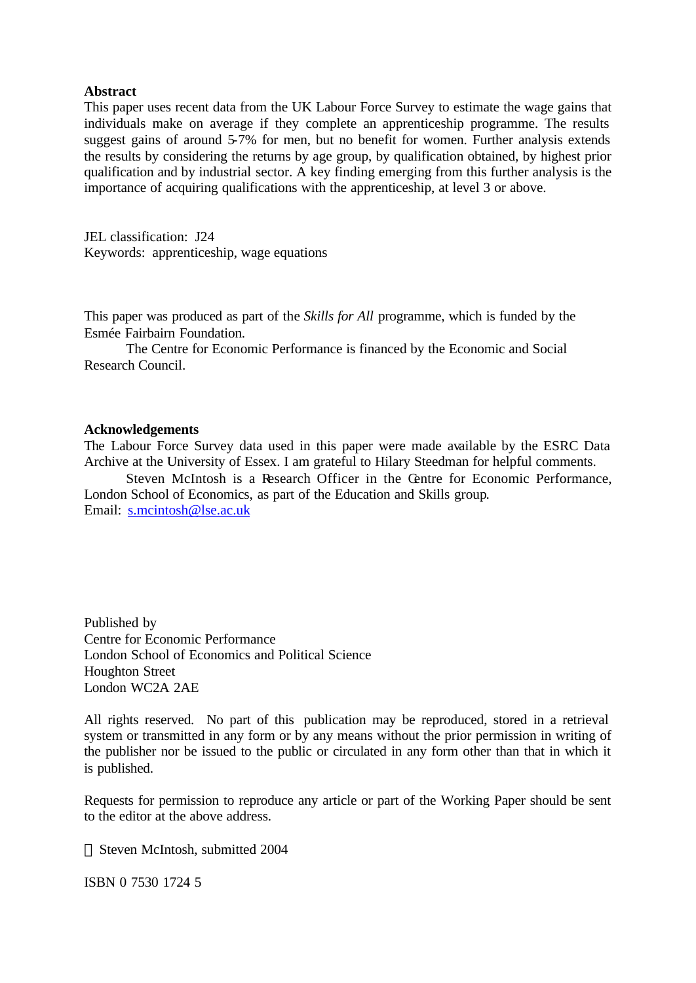#### **Abstract**

This paper uses recent data from the UK Labour Force Survey to estimate the wage gains that individuals make on average if they complete an apprenticeship programme. The results suggest gains of around 5-7% for men, but no benefit for women. Further analysis extends the results by considering the returns by age group, by qualification obtained, by highest prior qualification and by industrial sector. A key finding emerging from this further analysis is the importance of acquiring qualifications with the apprenticeship, at level 3 or above.

JEL classification: J24 Keywords: apprenticeship, wage equations

This paper was produced as part of the *Skills for All* programme, which is funded by the Esmée Fairbairn Foundation.

The Centre for Economic Performance is financed by the Economic and Social Research Council.

#### **Acknowledgements**

The Labour Force Survey data used in this paper were made available by the ESRC Data Archive at the University of Essex. I am grateful to Hilary Steedman for helpful comments.

Steven McIntosh is a Research Officer in the Centre for Economic Performance, London School of Economics, as part of the Education and Skills group. Email: s.mcintosh@lse.ac.uk

Published by Centre for Economic Performance London School of Economics and Political Science Houghton Street London WC2A 2AE

All rights reserved. No part of this publication may be reproduced, stored in a retrieval system or transmitted in any form or by any means without the prior permission in writing of the publisher nor be issued to the public or circulated in any form other than that in which it is published.

Requests for permission to reproduce any article or part of the Working Paper should be sent to the editor at the above address.

© Steven McIntosh, submitted 2004

ISBN 0 7530 1724 5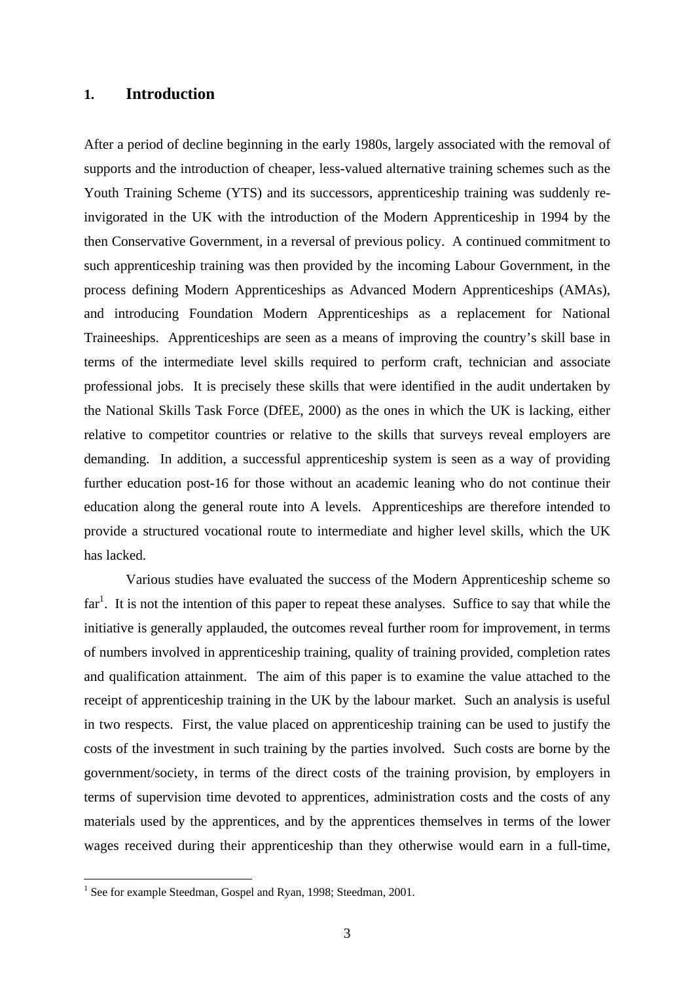### **1. Introduction**

After a period of decline beginning in the early 1980s, largely associated with the removal of supports and the introduction of cheaper, less-valued alternative training schemes such as the Youth Training Scheme (YTS) and its successors, apprenticeship training was suddenly reinvigorated in the UK with the introduction of the Modern Apprenticeship in 1994 by the then Conservative Government, in a reversal of previous policy. A continued commitment to such apprenticeship training was then provided by the incoming Labour Government, in the process defining Modern Apprenticeships as Advanced Modern Apprenticeships (AMAs), and introducing Foundation Modern Apprenticeships as a replacement for National Traineeships. Apprenticeships are seen as a means of improving the country's skill base in terms of the intermediate level skills required to perform craft, technician and associate professional jobs. It is precisely these skills that were identified in the audit undertaken by the National Skills Task Force (DfEE, 2000) as the ones in which the UK is lacking, either relative to competitor countries or relative to the skills that surveys reveal employers are demanding. In addition, a successful apprenticeship system is seen as a way of providing further education post-16 for those without an academic leaning who do not continue their education along the general route into A levels. Apprenticeships are therefore intended to provide a structured vocational route to intermediate and higher level skills, which the UK has lacked.

Various studies have evaluated the success of the Modern Apprenticeship scheme so  $far<sup>1</sup>$  $far<sup>1</sup>$  $far<sup>1</sup>$ . It is not the intention of this paper to repeat these analyses. Suffice to say that while the initiative is generally applauded, the outcomes reveal further room for improvement, in terms of numbers involved in apprenticeship training, quality of training provided, completion rates and qualification attainment. The aim of this paper is to examine the value attached to the receipt of apprenticeship training in the UK by the labour market. Such an analysis is useful in two respects. First, the value placed on apprenticeship training can be used to justify the costs of the investment in such training by the parties involved. Such costs are borne by the government/society, in terms of the direct costs of the training provision, by employers in terms of supervision time devoted to apprentices, administration costs and the costs of any materials used by the apprentices, and by the apprentices themselves in terms of the lower wages received during their apprenticeship than they otherwise would earn in a full-time,

<span id="page-2-0"></span> 1 See for example Steedman, Gospel and Ryan, 1998; Steedman, 2001.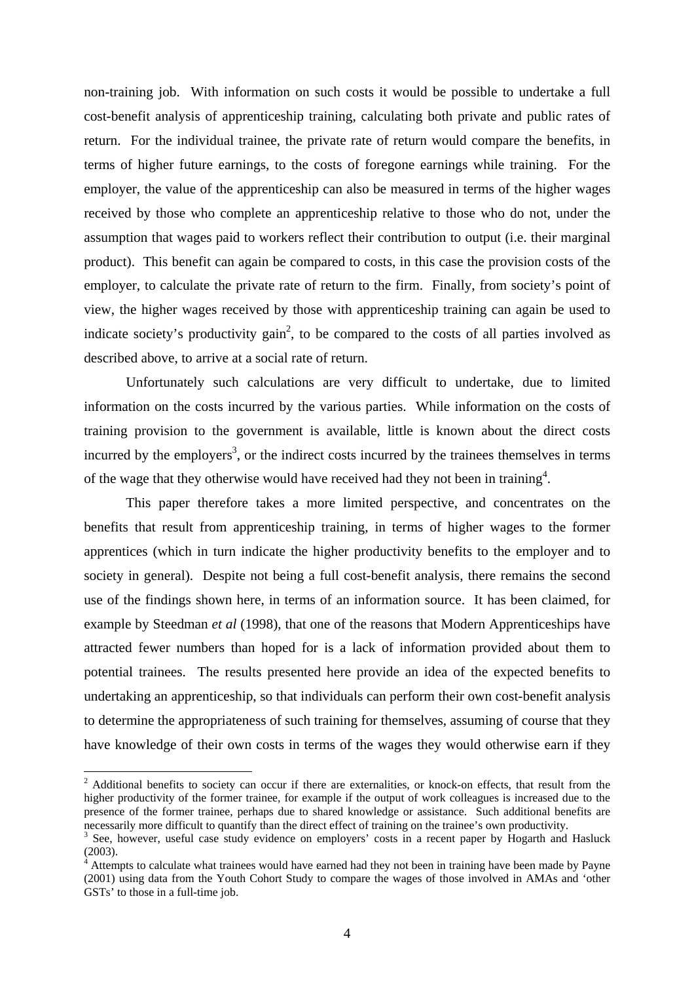non-training job. With information on such costs it would be possible to undertake a full cost-benefit analysis of apprenticeship training, calculating both private and public rates of return. For the individual trainee, the private rate of return would compare the benefits, in terms of higher future earnings, to the costs of foregone earnings while training. For the employer, the value of the apprenticeship can also be measured in terms of the higher wages received by those who complete an apprenticeship relative to those who do not, under the assumption that wages paid to workers reflect their contribution to output (i.e. their marginal product). This benefit can again be compared to costs, in this case the provision costs of the employer, to calculate the private rate of return to the firm. Finally, from society's point of view, the higher wages received by those with apprenticeship training can again be used to indicate society's productivity gain<sup>2</sup>, to be compared to the costs of all parties involved as described above, to arrive at a social rate of return.

Unfortunately such calculations are very difficult to undertake, due to limited information on the costs incurred by the various parties. While information on the costs of training provision to the government is available, little is known about the direct costs incurred by the employers<sup>[3](#page-3-1)</sup>, or the indirect costs incurred by the trainees themselves in terms of the wage that they otherwise would have received had they not been in training<sup>[4](#page-3-2)</sup>.

This paper therefore takes a more limited perspective, and concentrates on the benefits that result from apprenticeship training, in terms of higher wages to the former apprentices (which in turn indicate the higher productivity benefits to the employer and to society in general). Despite not being a full cost-benefit analysis, there remains the second use of the findings shown here, in terms of an information source. It has been claimed, for example by Steedman *et al* (1998), that one of the reasons that Modern Apprenticeships have attracted fewer numbers than hoped for is a lack of information provided about them to potential trainees. The results presented here provide an idea of the expected benefits to undertaking an apprenticeship, so that individuals can perform their own cost-benefit analysis to determine the appropriateness of such training for themselves, assuming of course that they have knowledge of their own costs in terms of the wages they would otherwise earn if they

<span id="page-3-0"></span> $2$  Additional benefits to society can occur if there are externalities, or knock-on effects, that result from the higher productivity of the former trainee, for example if the output of work colleagues is increased due to the presence of the former trainee, perhaps due to shared knowledge or assistance. Such additional benefits are necessarily more difficult to quantify than the direct effect of training on the trainee's own productivity.

<span id="page-3-1"></span><sup>&</sup>lt;sup>3</sup> See, however, useful case study evidence on employers' costs in a recent paper by Hogarth and Hasluck  $(2003)$ .

<span id="page-3-2"></span>Attempts to calculate what trainees would have earned had they not been in training have been made by Payne (2001) using data from the Youth Cohort Study to compare the wages of those involved in AMAs and 'other GSTs' to those in a full-time job.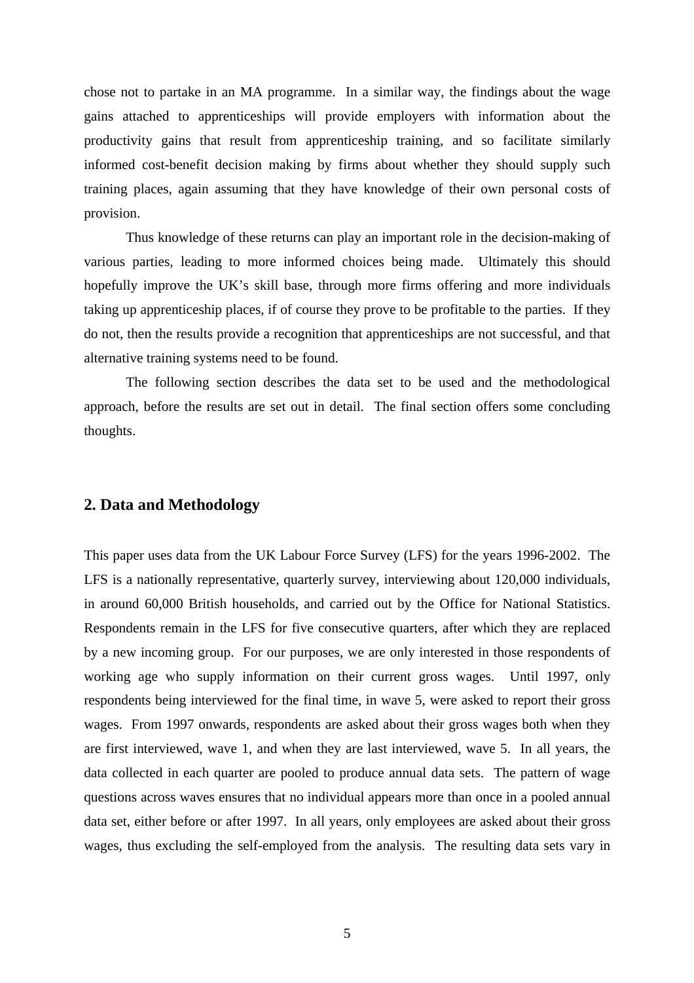chose not to partake in an MA programme. In a similar way, the findings about the wage gains attached to apprenticeships will provide employers with information about the productivity gains that result from apprenticeship training, and so facilitate similarly informed cost-benefit decision making by firms about whether they should supply such training places, again assuming that they have knowledge of their own personal costs of provision.

Thus knowledge of these returns can play an important role in the decision-making of various parties, leading to more informed choices being made. Ultimately this should hopefully improve the UK's skill base, through more firms offering and more individuals taking up apprenticeship places, if of course they prove to be profitable to the parties. If they do not, then the results provide a recognition that apprenticeships are not successful, and that alternative training systems need to be found.

The following section describes the data set to be used and the methodological approach, before the results are set out in detail. The final section offers some concluding thoughts.

### **2. Data and Methodology**

This paper uses data from the UK Labour Force Survey (LFS) for the years 1996-2002. The LFS is a nationally representative, quarterly survey, interviewing about 120,000 individuals, in around 60,000 British households, and carried out by the Office for National Statistics. Respondents remain in the LFS for five consecutive quarters, after which they are replaced by a new incoming group. For our purposes, we are only interested in those respondents of working age who supply information on their current gross wages. Until 1997, only respondents being interviewed for the final time, in wave 5, were asked to report their gross wages. From 1997 onwards, respondents are asked about their gross wages both when they are first interviewed, wave 1, and when they are last interviewed, wave 5. In all years, the data collected in each quarter are pooled to produce annual data sets. The pattern of wage questions across waves ensures that no individual appears more than once in a pooled annual data set, either before or after 1997. In all years, only employees are asked about their gross wages, thus excluding the self-employed from the analysis. The resulting data sets vary in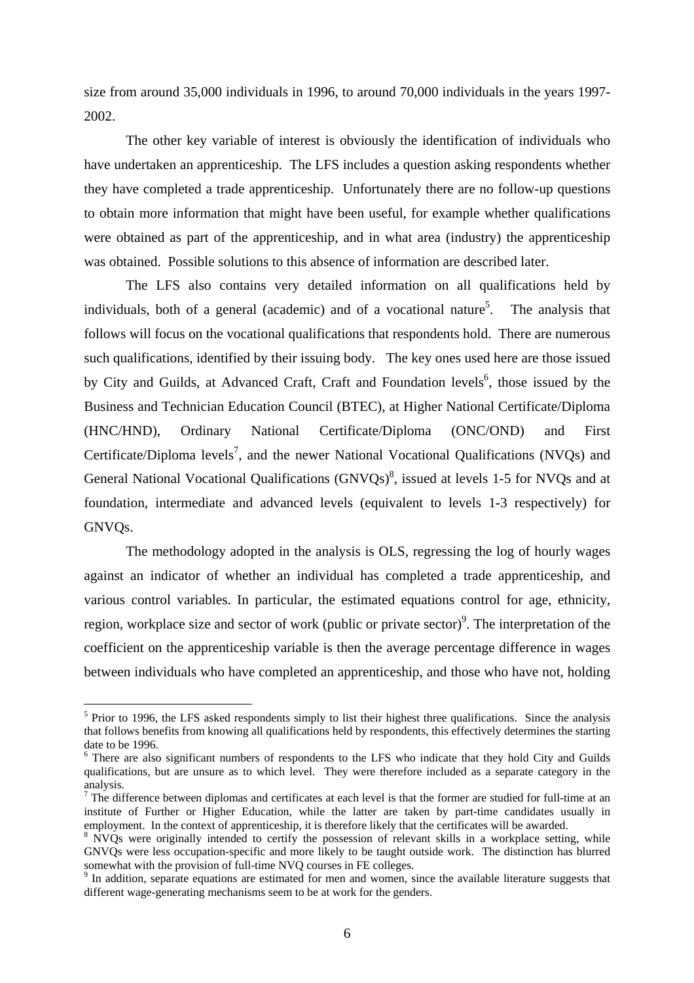size from around 35,000 individuals in 1996, to around 70,000 individuals in the years 1997- 2002.

The other key variable of interest is obviously the identification of individuals who have undertaken an apprenticeship. The LFS includes a question asking respondents whether they have completed a trade apprenticeship. Unfortunately there are no follow-up questions to obtain more information that might have been useful, for example whether qualifications were obtained as part of the apprenticeship, and in what area (industry) the apprenticeship was obtained. Possible solutions to this absence of information are described later.

The LFS also contains very detailed information on all qualifications held by individuals, both of a general (academic) and of a vocational nature<sup>5</sup>. The analysis that follows will focus on the vocational qualifications that respondents hold. There are numerous such qualifications, identified by their issuing body. The key ones used here are those issued by City and Guilds, at Advanced Craft, Craft and Foundation levels<sup>[6](#page-5-1)</sup>, those issued by the Business and Technician Education Council (BTEC), at Higher National Certificate/Diploma (HNC/HND), Ordinary National Certificate/Diploma (ONC/OND) and First Certificate/Diploma levels<sup>7</sup>, and the newer National Vocational Qualifications (NVQs) and General National Vocational Qualifications  $(GNVQs)^8$  $(GNVQs)^8$ , issued at levels 1-5 for NVQs and at foundation, intermediate and advanced levels (equivalent to levels 1-3 respectively) for GNVQs.

The methodology adopted in the analysis is OLS, regressing the log of hourly wages against an indicator of whether an individual has completed a trade apprenticeship, and various control variables. In particular, the estimated equations control for age, ethnicity, region, workplace size and sector of work (public or private sector)<sup>[9](#page-5-4)</sup>. The interpretation of the coefficient on the apprenticeship variable is then the average percentage difference in wages between individuals who have completed an apprenticeship, and those who have not, holding

<span id="page-5-0"></span> $<sup>5</sup>$  Prior to 1996, the LFS asked respondents simply to list their highest three qualifications. Since the analysis</sup> that follows benefits from knowing all qualifications held by respondents, this effectively determines the starting date to be 1996.

<span id="page-5-1"></span><sup>&</sup>lt;sup>6</sup> There are also significant numbers of respondents to the LFS who indicate that they hold City and Guilds qualifications, but are unsure as to which level. They were therefore included as a separate category in the analysis.

<span id="page-5-2"></span> $<sup>7</sup>$  The difference between diplomas and certificates at each level is that the former are studied for full-time at an</sup> institute of Further or Higher Education, while the latter are taken by part-time candidates usually in employment. In the context of apprenticeship, it is therefore likely that the certificates will be awarded.

<span id="page-5-3"></span><sup>&</sup>lt;sup>8</sup> NVO<sub>S</sub> were originally intended to certify the possession of relevant skills in a workplace setting, while GNVQs were less occupation-specific and more likely to be taught outside work. The distinction has blurred somewhat with the provision of full-time NVO courses in FE colleges. somewhat with the provision of full-time NVQ courses in FE colleges.<br><sup>9</sup> In addition, separate equations are estimated for men and women, since the available literature suggests that

<span id="page-5-4"></span>different wage-generating mechanisms seem to be at work for the genders.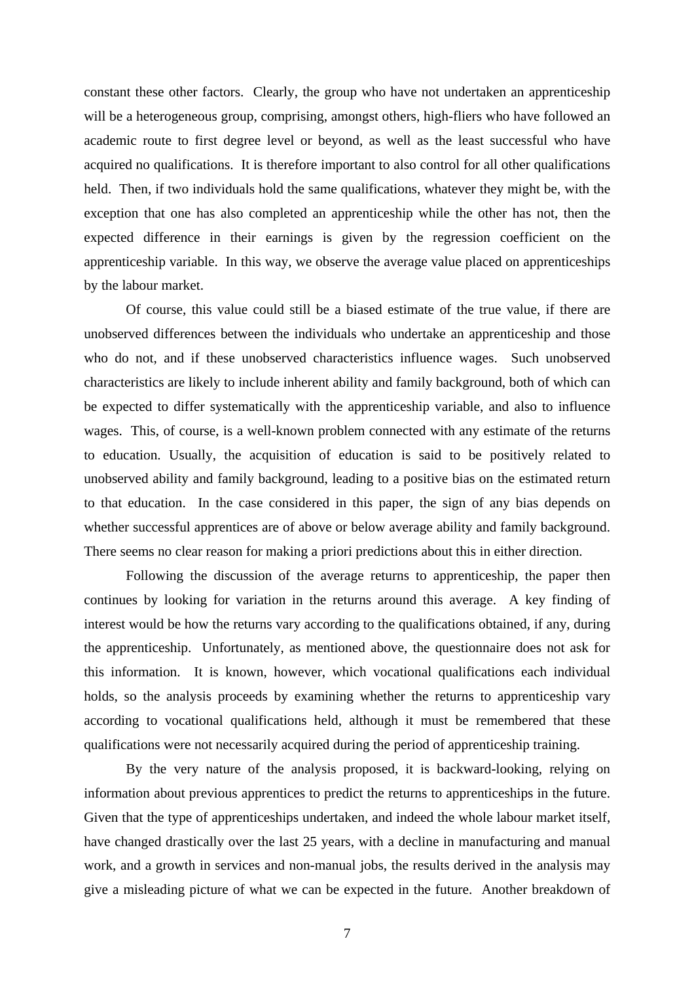constant these other factors. Clearly, the group who have not undertaken an apprenticeship will be a heterogeneous group, comprising, amongst others, high-fliers who have followed an academic route to first degree level or beyond, as well as the least successful who have acquired no qualifications. It is therefore important to also control for all other qualifications held. Then, if two individuals hold the same qualifications, whatever they might be, with the exception that one has also completed an apprenticeship while the other has not, then the expected difference in their earnings is given by the regression coefficient on the apprenticeship variable. In this way, we observe the average value placed on apprenticeships by the labour market.

Of course, this value could still be a biased estimate of the true value, if there are unobserved differences between the individuals who undertake an apprenticeship and those who do not, and if these unobserved characteristics influence wages. Such unobserved characteristics are likely to include inherent ability and family background, both of which can be expected to differ systematically with the apprenticeship variable, and also to influence wages. This, of course, is a well-known problem connected with any estimate of the returns to education. Usually, the acquisition of education is said to be positively related to unobserved ability and family background, leading to a positive bias on the estimated return to that education. In the case considered in this paper, the sign of any bias depends on whether successful apprentices are of above or below average ability and family background. There seems no clear reason for making a priori predictions about this in either direction.

Following the discussion of the average returns to apprenticeship, the paper then continues by looking for variation in the returns around this average. A key finding of interest would be how the returns vary according to the qualifications obtained, if any, during the apprenticeship. Unfortunately, as mentioned above, the questionnaire does not ask for this information. It is known, however, which vocational qualifications each individual holds, so the analysis proceeds by examining whether the returns to apprenticeship vary according to vocational qualifications held, although it must be remembered that these qualifications were not necessarily acquired during the period of apprenticeship training.

By the very nature of the analysis proposed, it is backward-looking, relying on information about previous apprentices to predict the returns to apprenticeships in the future. Given that the type of apprenticeships undertaken, and indeed the whole labour market itself, have changed drastically over the last 25 years, with a decline in manufacturing and manual work, and a growth in services and non-manual jobs, the results derived in the analysis may give a misleading picture of what we can be expected in the future. Another breakdown of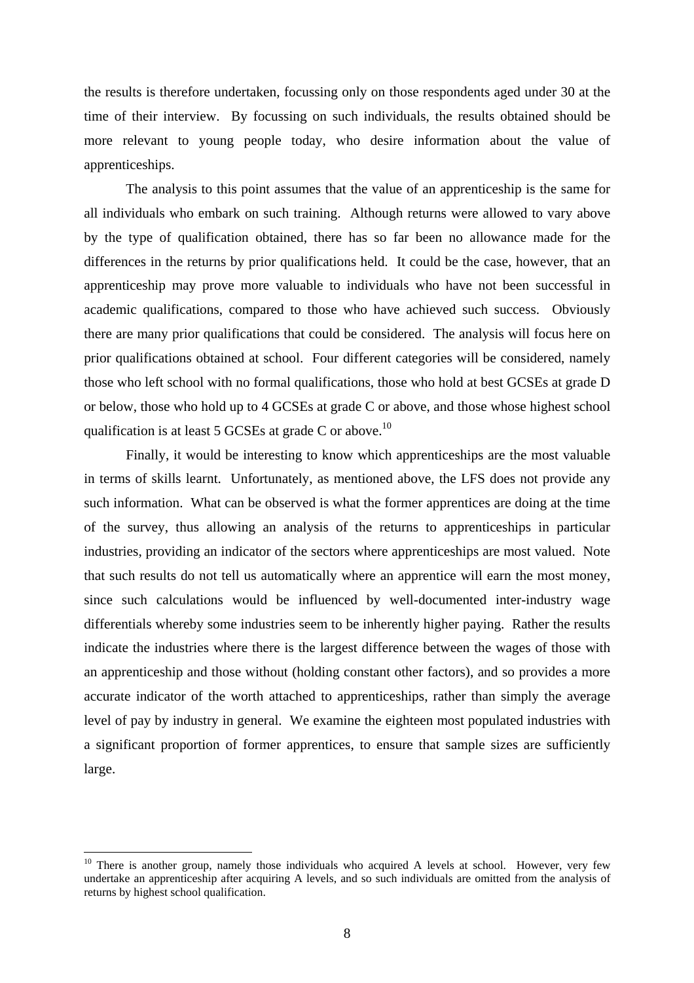the results is therefore undertaken, focussing only on those respondents aged under 30 at the time of their interview. By focussing on such individuals, the results obtained should be more relevant to young people today, who desire information about the value of apprenticeships.

The analysis to this point assumes that the value of an apprenticeship is the same for all individuals who embark on such training. Although returns were allowed to vary above by the type of qualification obtained, there has so far been no allowance made for the differences in the returns by prior qualifications held. It could be the case, however, that an apprenticeship may prove more valuable to individuals who have not been successful in academic qualifications, compared to those who have achieved such success. Obviously there are many prior qualifications that could be considered. The analysis will focus here on prior qualifications obtained at school. Four different categories will be considered, namely those who left school with no formal qualifications, those who hold at best GCSEs at grade D or below, those who hold up to 4 GCSEs at grade C or above, and those whose highest school qualification is at least 5 GCSEs at grade C or above.<sup>[10](#page-7-0)</sup>

Finally, it would be interesting to know which apprenticeships are the most valuable in terms of skills learnt. Unfortunately, as mentioned above, the LFS does not provide any such information. What can be observed is what the former apprentices are doing at the time of the survey, thus allowing an analysis of the returns to apprenticeships in particular industries, providing an indicator of the sectors where apprenticeships are most valued. Note that such results do not tell us automatically where an apprentice will earn the most money, since such calculations would be influenced by well-documented inter-industry wage differentials whereby some industries seem to be inherently higher paying. Rather the results indicate the industries where there is the largest difference between the wages of those with an apprenticeship and those without (holding constant other factors), and so provides a more accurate indicator of the worth attached to apprenticeships, rather than simply the average level of pay by industry in general. We examine the eighteen most populated industries with a significant proportion of former apprentices, to ensure that sample sizes are sufficiently large.

<span id="page-7-0"></span> $10$  There is another group, namely those individuals who acquired A levels at school. However, very few undertake an apprenticeship after acquiring A levels, and so such individuals are omitted from the analysis of returns by highest school qualification.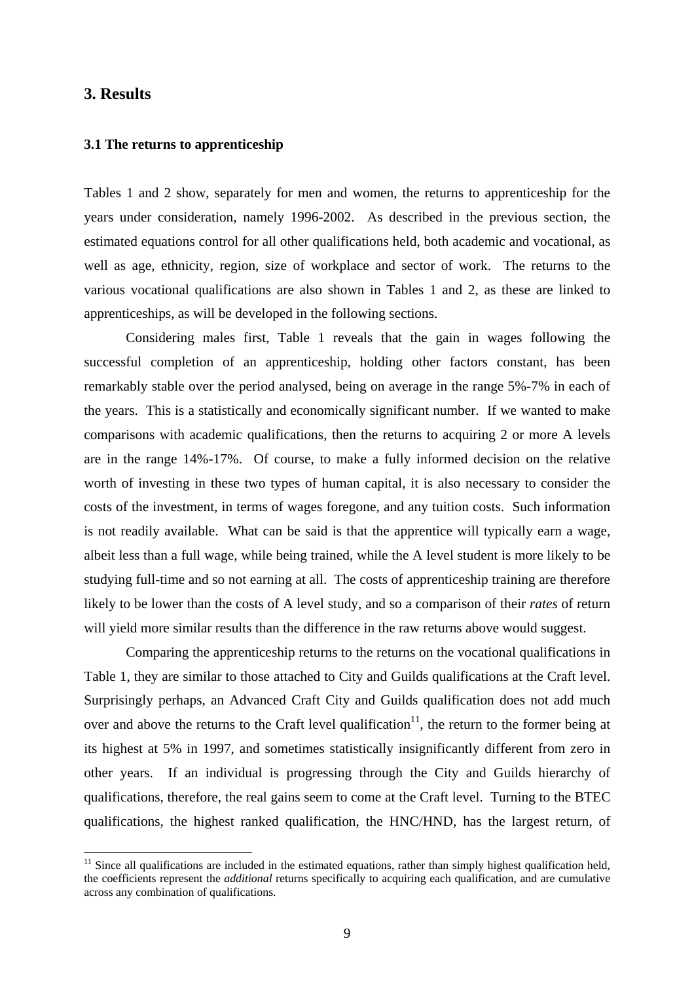### **3. Results**

 $\overline{a}$ 

### **3.1 The returns to apprenticeship**

Tables 1 and 2 show, separately for men and women, the returns to apprenticeship for the years under consideration, namely 1996-2002. As described in the previous section, the estimated equations control for all other qualifications held, both academic and vocational, as well as age, ethnicity, region, size of workplace and sector of work. The returns to the various vocational qualifications are also shown in Tables 1 and 2, as these are linked to apprenticeships, as will be developed in the following sections.

Considering males first, Table 1 reveals that the gain in wages following the successful completion of an apprenticeship, holding other factors constant, has been remarkably stable over the period analysed, being on average in the range 5%-7% in each of the years. This is a statistically and economically significant number. If we wanted to make comparisons with academic qualifications, then the returns to acquiring 2 or more A levels are in the range 14%-17%. Of course, to make a fully informed decision on the relative worth of investing in these two types of human capital, it is also necessary to consider the costs of the investment, in terms of wages foregone, and any tuition costs. Such information is not readily available. What can be said is that the apprentice will typically earn a wage, albeit less than a full wage, while being trained, while the A level student is more likely to be studying full-time and so not earning at all. The costs of apprenticeship training are therefore likely to be lower than the costs of A level study, and so a comparison of their *rates* of return will yield more similar results than the difference in the raw returns above would suggest.

Comparing the apprenticeship returns to the returns on the vocational qualifications in Table 1, they are similar to those attached to City and Guilds qualifications at the Craft level. Surprisingly perhaps, an Advanced Craft City and Guilds qualification does not add much over and above the returns to the Craft level qualification<sup>11</sup>, the return to the former being at its highest at 5% in 1997, and sometimes statistically insignificantly different from zero in other years. If an individual is progressing through the City and Guilds hierarchy of qualifications, therefore, the real gains seem to come at the Craft level. Turning to the BTEC qualifications, the highest ranked qualification, the HNC/HND, has the largest return, of

<span id="page-8-0"></span> $11$  Since all qualifications are included in the estimated equations, rather than simply highest qualification held, the coefficients represent the *additional* returns specifically to acquiring each qualification, and are cumulative across any combination of qualifications.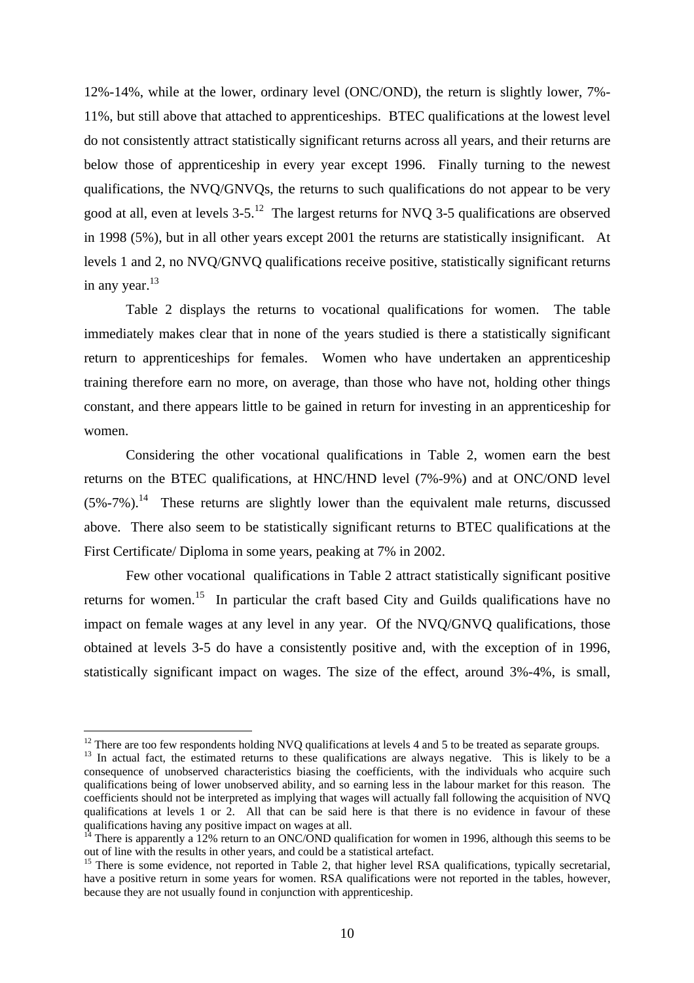12%-14%, while at the lower, ordinary level (ONC/OND), the return is slightly lower, 7%- 11%, but still above that attached to apprenticeships. BTEC qualifications at the lowest level do not consistently attract statistically significant returns across all years, and their returns are below those of apprenticeship in every year except 1996. Finally turning to the newest qualifications, the NVQ/GNVQs, the returns to such qualifications do not appear to be very good at all, even at levels 3-5[.12](#page-9-0) The largest returns for NVQ 3-5 qualifications are observed in 1998 (5%), but in all other years except 2001 the returns are statistically insignificant. At levels 1 and 2, no NVQ/GNVQ qualifications receive positive, statistically significant returns in any year. $13$ 

Table 2 displays the returns to vocational qualifications for women. The table immediately makes clear that in none of the years studied is there a statistically significant return to apprenticeships for females. Women who have undertaken an apprenticeship training therefore earn no more, on average, than those who have not, holding other things constant, and there appears little to be gained in return for investing in an apprenticeship for women.

Considering the other vocational qualifications in Table 2, women earn the best returns on the BTEC qualifications, at HNC/HND level (7%-9%) and at ONC/OND level  $(5\% - 7\%)$ <sup>14</sup>. These returns are slightly lower than the equivalent male returns, discussed above. There also seem to be statistically significant returns to BTEC qualifications at the First Certificate/ Diploma in some years, peaking at 7% in 2002.

Few other vocational qualifications in Table 2 attract statistically significant positive returns for women.<sup>15</sup> In particular the craft based City and Guilds qualifications have no impact on female wages at any level in any year. Of the NVQ/GNVQ qualifications, those obtained at levels 3-5 do have a consistently positive and, with the exception of in 1996, statistically significant impact on wages. The size of the effect, around 3%-4%, is small,

<span id="page-9-0"></span> $12$  There are too few respondents holding NVQ qualifications at levels 4 and 5 to be treated as separate groups.

<span id="page-9-1"></span> $13$  In actual fact, the estimated returns to these qualifications are always negative. This is likely to be a consequence of unobserved characteristics biasing the coefficients, with the individuals who acquire such qualifications being of lower unobserved ability, and so earning less in the labour market for this reason. The coefficients should not be interpreted as implying that wages will actually fall following the acquisition of NVQ qualifications at levels 1 or 2. All that can be said here is that there is no evidence in favour of these

<span id="page-9-2"></span>qualifications having any positive impact on wages at all.<br><sup>14</sup> There is apparently a 12% return to an ONC/OND qualification for women in 1996, although this seems to be out of line with the results in other vears, and cou

<span id="page-9-3"></span><sup>&</sup>lt;sup>15</sup> There is some evidence, not reported in Table 2, that higher level RSA qualifications, typically secretarial, have a positive return in some years for women. RSA qualifications were not reported in the tables, however, because they are not usually found in conjunction with apprenticeship.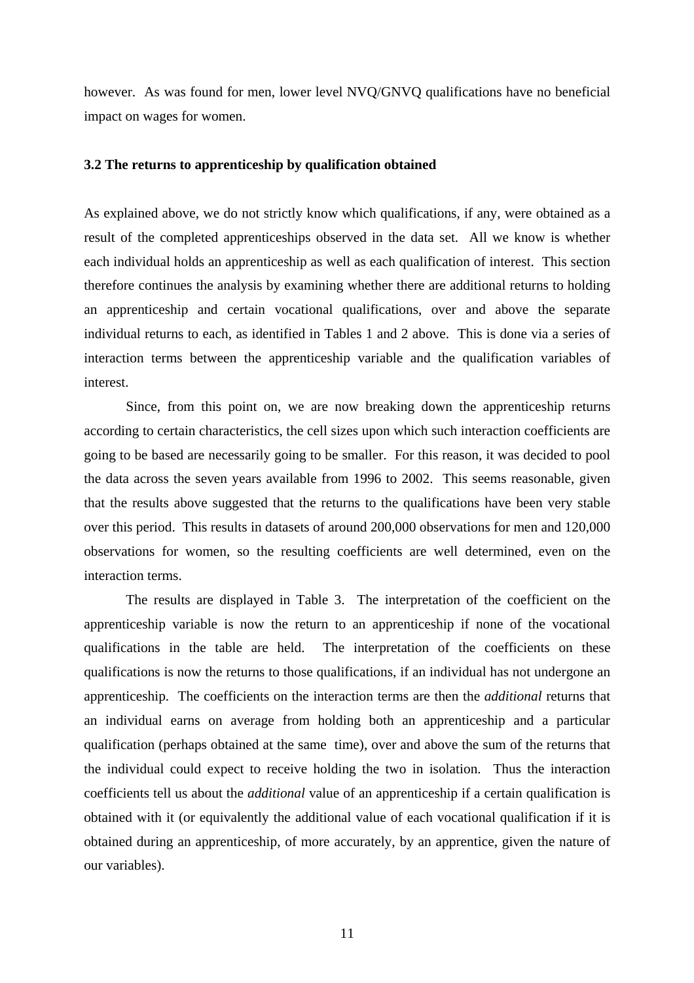however. As was found for men, lower level NVQ/GNVQ qualifications have no beneficial impact on wages for women.

### **3.2 The returns to apprenticeship by qualification obtained**

As explained above, we do not strictly know which qualifications, if any, were obtained as a result of the completed apprenticeships observed in the data set. All we know is whether each individual holds an apprenticeship as well as each qualification of interest. This section therefore continues the analysis by examining whether there are additional returns to holding an apprenticeship and certain vocational qualifications, over and above the separate individual returns to each, as identified in Tables 1 and 2 above. This is done via a series of interaction terms between the apprenticeship variable and the qualification variables of interest.

Since, from this point on, we are now breaking down the apprenticeship returns according to certain characteristics, the cell sizes upon which such interaction coefficients are going to be based are necessarily going to be smaller. For this reason, it was decided to pool the data across the seven years available from 1996 to 2002. This seems reasonable, given that the results above suggested that the returns to the qualifications have been very stable over this period. This results in datasets of around 200,000 observations for men and 120,000 observations for women, so the resulting coefficients are well determined, even on the interaction terms.

The results are displayed in Table 3. The interpretation of the coefficient on the apprenticeship variable is now the return to an apprenticeship if none of the vocational qualifications in the table are held. The interpretation of the coefficients on these qualifications is now the returns to those qualifications, if an individual has not undergone an apprenticeship. The coefficients on the interaction terms are then the *additional* returns that an individual earns on average from holding both an apprenticeship and a particular qualification (perhaps obtained at the same time), over and above the sum of the returns that the individual could expect to receive holding the two in isolation. Thus the interaction coefficients tell us about the *additional* value of an apprenticeship if a certain qualification is obtained with it (or equivalently the additional value of each vocational qualification if it is obtained during an apprenticeship, of more accurately, by an apprentice, given the nature of our variables).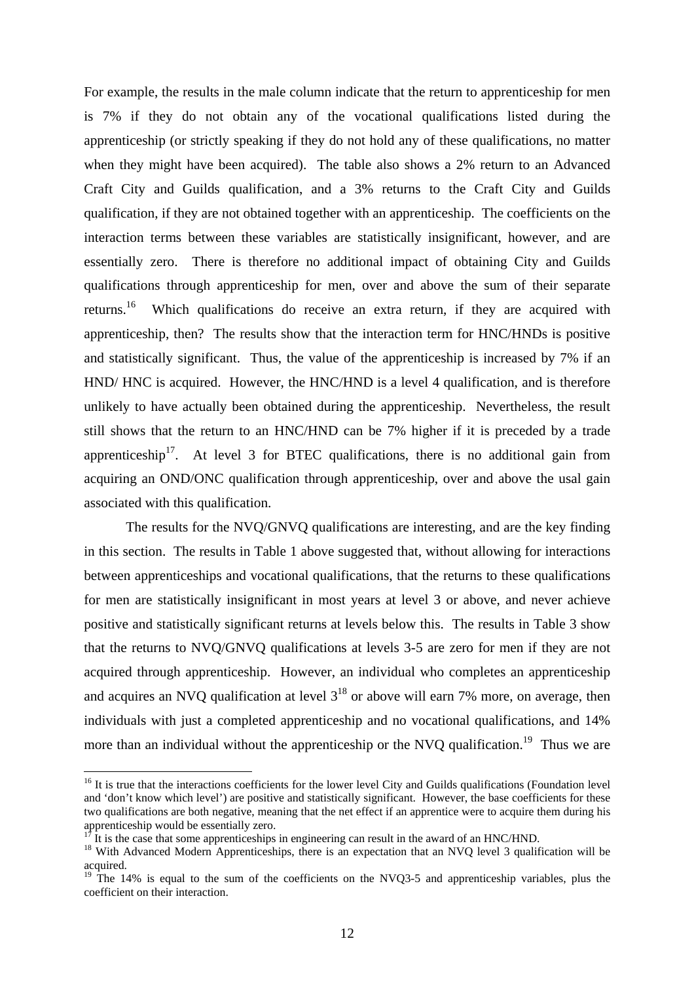For example, the results in the male column indicate that the return to apprenticeship for men is 7% if they do not obtain any of the vocational qualifications listed during the apprenticeship (or strictly speaking if they do not hold any of these qualifications, no matter when they might have been acquired). The table also shows a 2% return to an Advanced Craft City and Guilds qualification, and a 3% returns to the Craft City and Guilds qualification, if they are not obtained together with an apprenticeship. The coefficients on the interaction terms between these variables are statistically insignificant, however, and are essentially zero. There is therefore no additional impact of obtaining City and Guilds qualifications through apprenticeship for men, over and above the sum of their separate returns[.16](#page-11-0) Which qualifications do receive an extra return, if they are acquired with apprenticeship, then? The results show that the interaction term for HNC/HNDs is positive and statistically significant. Thus, the value of the apprenticeship is increased by 7% if an HND/ HNC is acquired. However, the HNC/HND is a level 4 qualification, and is therefore unlikely to have actually been obtained during the apprenticeship. Nevertheless, the result still shows that the return to an HNC/HND can be 7% higher if it is preceded by a trade apprenticeship<sup>17</sup>. At level 3 for BTEC qualifications, there is no additional gain from acquiring an OND/ONC qualification through apprenticeship, over and above the usal gain associated with this qualification.

The results for the NVQ/GNVQ qualifications are interesting, and are the key finding in this section. The results in Table 1 above suggested that, without allowing for interactions between apprenticeships and vocational qualifications, that the returns to these qualifications for men are statistically insignificant in most years at level 3 or above, and never achieve positive and statistically significant returns at levels below this. The results in Table 3 show that the returns to NVQ/GNVQ qualifications at levels 3-5 are zero for men if they are not acquired through apprenticeship. However, an individual who completes an apprenticeship and acquires an NVO qualification at level  $3^{18}$  or above will earn 7% more, on average, then individuals with just a completed apprenticeship and no vocational qualifications, and 14% more than an individual without the apprenticeship or the NVQ qualification.<sup>19</sup> Thus we are

<span id="page-11-0"></span> $16$  It is true that the interactions coefficients for the lower level City and Guilds qualifications (Foundation level and 'don't know which level') are positive and statistically significant. However, the base coefficients for these two qualifications are both negative, meaning that the net effect if an apprentice were to acquire them during his apprenticeship would be essentially zero.<br><sup>17</sup> It is the case that some apprenticeships in engineering can result in the award of an HNC/HND.<br><sup>18</sup> With Advanced Modern Apprenticeships, there is an expectation that an NVQ

<span id="page-11-1"></span>

<span id="page-11-2"></span>acquired.<br><sup>19</sup> The 14% is equal to the sum of the coefficients on the NVQ3-5 and apprenticeship variables, plus the

<span id="page-11-3"></span>coefficient on their interaction.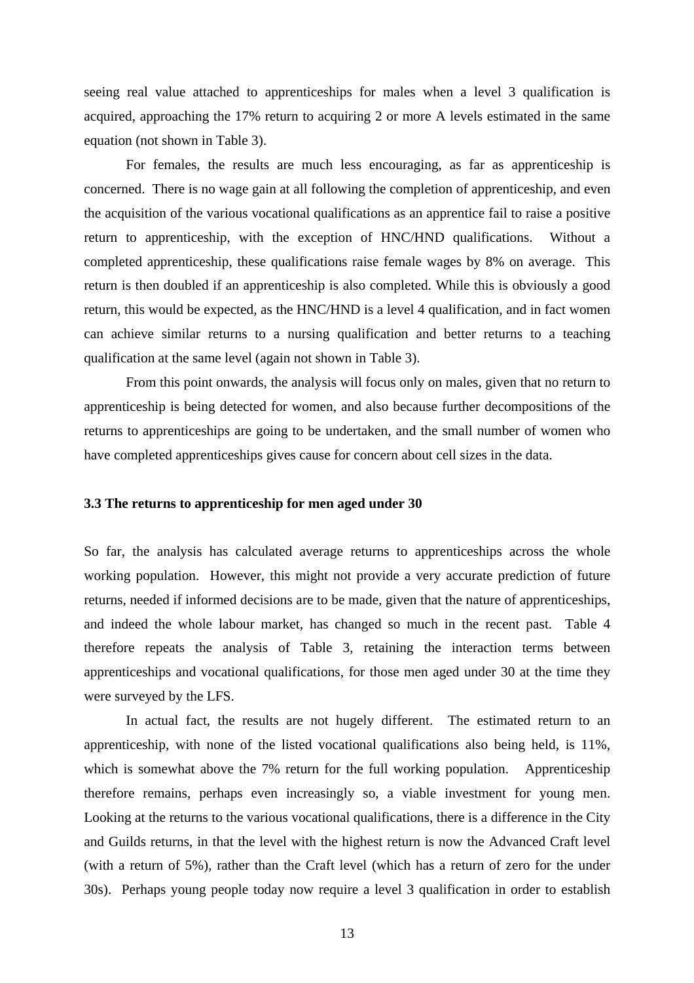seeing real value attached to apprenticeships for males when a level 3 qualification is acquired, approaching the 17% return to acquiring 2 or more A levels estimated in the same equation (not shown in Table 3).

For females, the results are much less encouraging, as far as apprenticeship is concerned. There is no wage gain at all following the completion of apprenticeship, and even the acquisition of the various vocational qualifications as an apprentice fail to raise a positive return to apprenticeship, with the exception of HNC/HND qualifications. Without a completed apprenticeship, these qualifications raise female wages by 8% on average. This return is then doubled if an apprenticeship is also completed. While this is obviously a good return, this would be expected, as the HNC/HND is a level 4 qualification, and in fact women can achieve similar returns to a nursing qualification and better returns to a teaching qualification at the same level (again not shown in Table 3).

From this point onwards, the analysis will focus only on males, given that no return to apprenticeship is being detected for women, and also because further decompositions of the returns to apprenticeships are going to be undertaken, and the small number of women who have completed apprenticeships gives cause for concern about cell sizes in the data.

### **3.3 The returns to apprenticeship for men aged under 30**

So far, the analysis has calculated average returns to apprenticeships across the whole working population. However, this might not provide a very accurate prediction of future returns, needed if informed decisions are to be made, given that the nature of apprenticeships, and indeed the whole labour market, has changed so much in the recent past. Table 4 therefore repeats the analysis of Table 3, retaining the interaction terms between apprenticeships and vocational qualifications, for those men aged under 30 at the time they were surveyed by the LFS.

In actual fact, the results are not hugely different. The estimated return to an apprenticeship, with none of the listed vocational qualifications also being held, is 11%, which is somewhat above the 7% return for the full working population. Apprenticeship therefore remains, perhaps even increasingly so, a viable investment for young men. Looking at the returns to the various vocational qualifications, there is a difference in the City and Guilds returns, in that the level with the highest return is now the Advanced Craft level (with a return of 5%), rather than the Craft level (which has a return of zero for the under 30s). Perhaps young people today now require a level 3 qualification in order to establish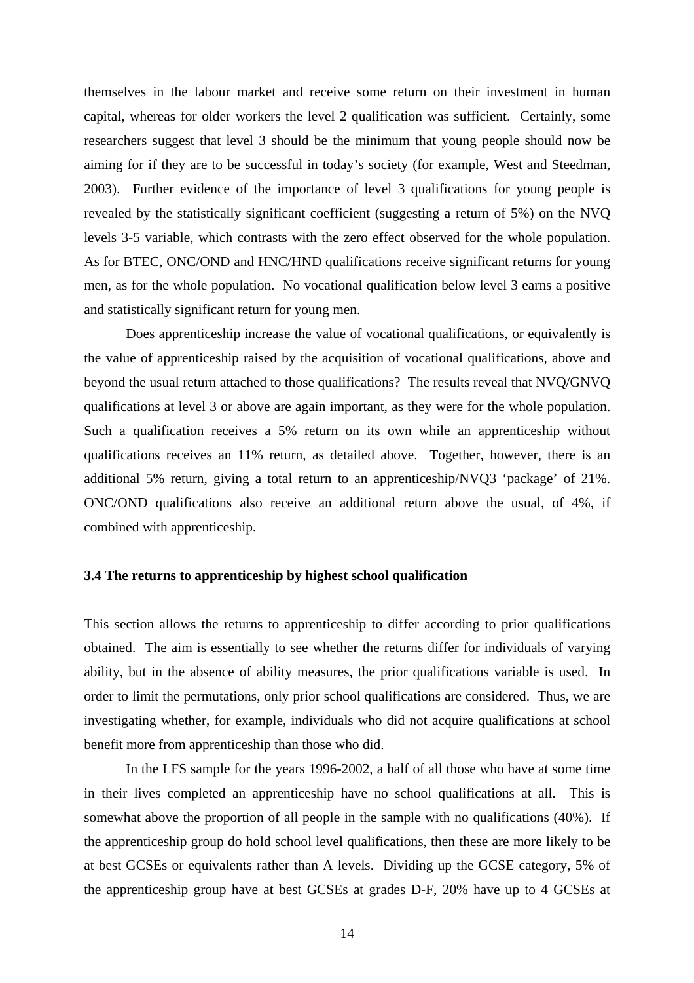themselves in the labour market and receive some return on their investment in human capital, whereas for older workers the level 2 qualification was sufficient. Certainly, some researchers suggest that level 3 should be the minimum that young people should now be aiming for if they are to be successful in today's society (for example, West and Steedman, 2003). Further evidence of the importance of level 3 qualifications for young people is revealed by the statistically significant coefficient (suggesting a return of 5%) on the NVQ levels 3-5 variable, which contrasts with the zero effect observed for the whole population. As for BTEC, ONC/OND and HNC/HND qualifications receive significant returns for young men, as for the whole population. No vocational qualification below level 3 earns a positive and statistically significant return for young men.

Does apprenticeship increase the value of vocational qualifications, or equivalently is the value of apprenticeship raised by the acquisition of vocational qualifications, above and beyond the usual return attached to those qualifications? The results reveal that NVQ/GNVQ qualifications at level 3 or above are again important, as they were for the whole population. Such a qualification receives a 5% return on its own while an apprenticeship without qualifications receives an 11% return, as detailed above. Together, however, there is an additional 5% return, giving a total return to an apprenticeship/NVQ3 'package' of 21%. ONC/OND qualifications also receive an additional return above the usual, of 4%, if combined with apprenticeship.

#### **3.4 The returns to apprenticeship by highest school qualification**

This section allows the returns to apprenticeship to differ according to prior qualifications obtained. The aim is essentially to see whether the returns differ for individuals of varying ability, but in the absence of ability measures, the prior qualifications variable is used. In order to limit the permutations, only prior school qualifications are considered. Thus, we are investigating whether, for example, individuals who did not acquire qualifications at school benefit more from apprenticeship than those who did.

In the LFS sample for the years 1996-2002, a half of all those who have at some time in their lives completed an apprenticeship have no school qualifications at all. This is somewhat above the proportion of all people in the sample with no qualifications (40%). If the apprenticeship group do hold school level qualifications, then these are more likely to be at best GCSEs or equivalents rather than A levels. Dividing up the GCSE category, 5% of the apprenticeship group have at best GCSEs at grades D-F, 20% have up to 4 GCSEs at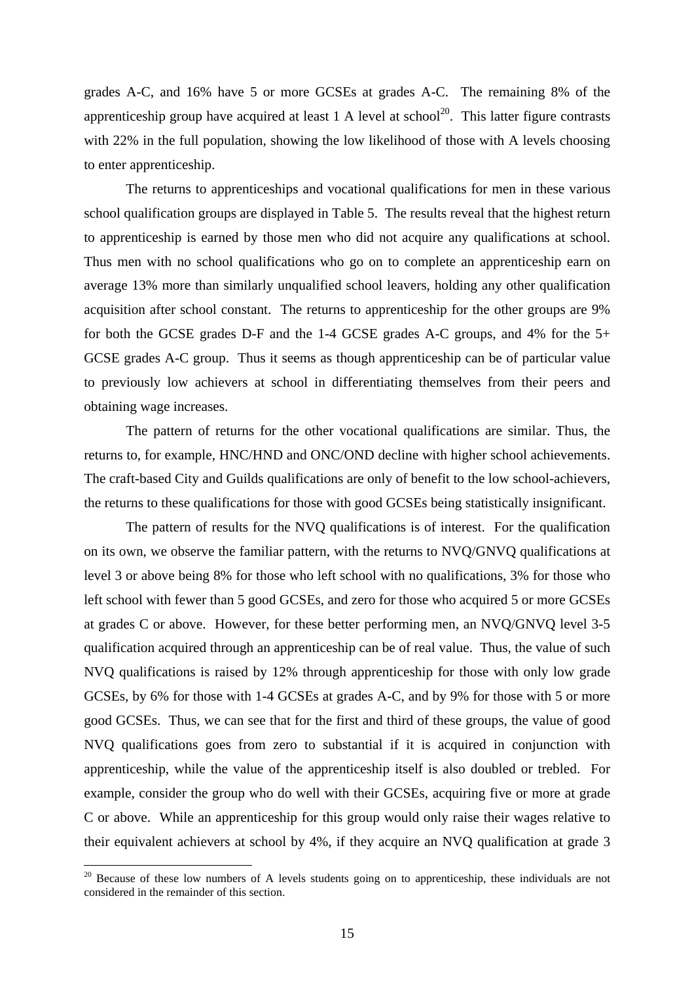grades A-C, and 16% have 5 or more GCSEs at grades A-C. The remaining 8% of the apprenticeship group have acquired at least 1 A level at school<sup>20</sup>. This latter figure contrasts with 22% in the full population, showing the low likelihood of those with A levels choosing to enter apprenticeship.

The returns to apprenticeships and vocational qualifications for men in these various school qualification groups are displayed in Table 5. The results reveal that the highest return to apprenticeship is earned by those men who did not acquire any qualifications at school. Thus men with no school qualifications who go on to complete an apprenticeship earn on average 13% more than similarly unqualified school leavers, holding any other qualification acquisition after school constant. The returns to apprenticeship for the other groups are 9% for both the GCSE grades D-F and the 1-4 GCSE grades A-C groups, and 4% for the 5+ GCSE grades A-C group. Thus it seems as though apprenticeship can be of particular value to previously low achievers at school in differentiating themselves from their peers and obtaining wage increases.

The pattern of returns for the other vocational qualifications are similar. Thus, the returns to, for example, HNC/HND and ONC/OND decline with higher school achievements. The craft-based City and Guilds qualifications are only of benefit to the low school-achievers, the returns to these qualifications for those with good GCSEs being statistically insignificant.

The pattern of results for the NVQ qualifications is of interest. For the qualification on its own, we observe the familiar pattern, with the returns to NVQ/GNVQ qualifications at level 3 or above being 8% for those who left school with no qualifications, 3% for those who left school with fewer than 5 good GCSEs, and zero for those who acquired 5 or more GCSEs at grades C or above. However, for these better performing men, an NVQ/GNVQ level 3-5 qualification acquired through an apprenticeship can be of real value. Thus, the value of such NVQ qualifications is raised by 12% through apprenticeship for those with only low grade GCSEs, by 6% for those with 1-4 GCSEs at grades A-C, and by 9% for those with 5 or more good GCSEs. Thus, we can see that for the first and third of these groups, the value of good NVQ qualifications goes from zero to substantial if it is acquired in conjunction with apprenticeship, while the value of the apprenticeship itself is also doubled or trebled. For example, consider the group who do well with their GCSEs, acquiring five or more at grade C or above. While an apprenticeship for this group would only raise their wages relative to their equivalent achievers at school by 4%, if they acquire an NVQ qualification at grade 3

<span id="page-14-0"></span> $20$  Because of these low numbers of A levels students going on to apprenticeship, these individuals are not considered in the remainder of this section.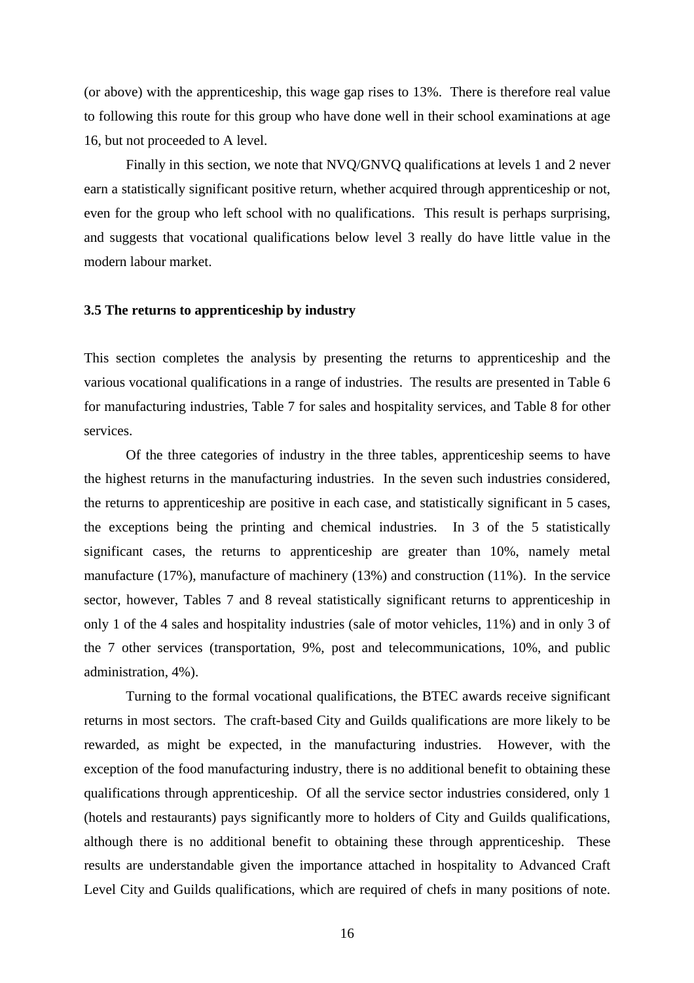(or above) with the apprenticeship, this wage gap rises to 13%. There is therefore real value to following this route for this group who have done well in their school examinations at age 16, but not proceeded to A level.

Finally in this section, we note that NVQ/GNVQ qualifications at levels 1 and 2 never earn a statistically significant positive return, whether acquired through apprenticeship or not, even for the group who left school with no qualifications. This result is perhaps surprising, and suggests that vocational qualifications below level 3 really do have little value in the modern labour market.

### **3.5 The returns to apprenticeship by industry**

This section completes the analysis by presenting the returns to apprenticeship and the various vocational qualifications in a range of industries. The results are presented in Table 6 for manufacturing industries, Table 7 for sales and hospitality services, and Table 8 for other services.

Of the three categories of industry in the three tables, apprenticeship seems to have the highest returns in the manufacturing industries. In the seven such industries considered, the returns to apprenticeship are positive in each case, and statistically significant in 5 cases, the exceptions being the printing and chemical industries. In 3 of the 5 statistically significant cases, the returns to apprenticeship are greater than 10%, namely metal manufacture (17%), manufacture of machinery (13%) and construction (11%). In the service sector, however, Tables 7 and 8 reveal statistically significant returns to apprenticeship in only 1 of the 4 sales and hospitality industries (sale of motor vehicles, 11%) and in only 3 of the 7 other services (transportation, 9%, post and telecommunications, 10%, and public administration, 4%).

Turning to the formal vocational qualifications, the BTEC awards receive significant returns in most sectors. The craft-based City and Guilds qualifications are more likely to be rewarded, as might be expected, in the manufacturing industries. However, with the exception of the food manufacturing industry, there is no additional benefit to obtaining these qualifications through apprenticeship. Of all the service sector industries considered, only 1 (hotels and restaurants) pays significantly more to holders of City and Guilds qualifications, although there is no additional benefit to obtaining these through apprenticeship. These results are understandable given the importance attached in hospitality to Advanced Craft Level City and Guilds qualifications, which are required of chefs in many positions of note.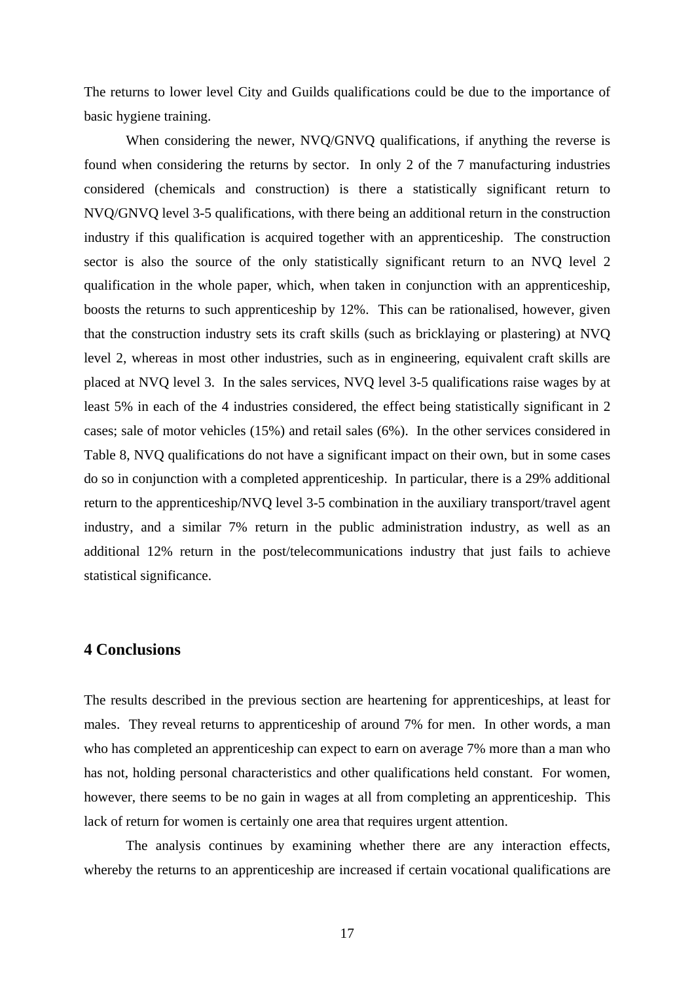The returns to lower level City and Guilds qualifications could be due to the importance of basic hygiene training.

When considering the newer, NVQ/GNVQ qualifications, if anything the reverse is found when considering the returns by sector. In only 2 of the 7 manufacturing industries considered (chemicals and construction) is there a statistically significant return to NVQ/GNVQ level 3-5 qualifications, with there being an additional return in the construction industry if this qualification is acquired together with an apprenticeship. The construction sector is also the source of the only statistically significant return to an NVQ level 2 qualification in the whole paper, which, when taken in conjunction with an apprenticeship, boosts the returns to such apprenticeship by 12%. This can be rationalised, however, given that the construction industry sets its craft skills (such as bricklaying or plastering) at NVQ level 2, whereas in most other industries, such as in engineering, equivalent craft skills are placed at NVQ level 3. In the sales services, NVQ level 3-5 qualifications raise wages by at least 5% in each of the 4 industries considered, the effect being statistically significant in 2 cases; sale of motor vehicles (15%) and retail sales (6%). In the other services considered in Table 8, NVQ qualifications do not have a significant impact on their own, but in some cases do so in conjunction with a completed apprenticeship. In particular, there is a 29% additional return to the apprenticeship/NVQ level 3-5 combination in the auxiliary transport/travel agent industry, and a similar 7% return in the public administration industry, as well as an additional 12% return in the post/telecommunications industry that just fails to achieve statistical significance.

### **4 Conclusions**

The results described in the previous section are heartening for apprenticeships, at least for males. They reveal returns to apprenticeship of around 7% for men. In other words, a man who has completed an apprenticeship can expect to earn on average 7% more than a man who has not, holding personal characteristics and other qualifications held constant. For women, however, there seems to be no gain in wages at all from completing an apprenticeship. This lack of return for women is certainly one area that requires urgent attention.

The analysis continues by examining whether there are any interaction effects, whereby the returns to an apprenticeship are increased if certain vocational qualifications are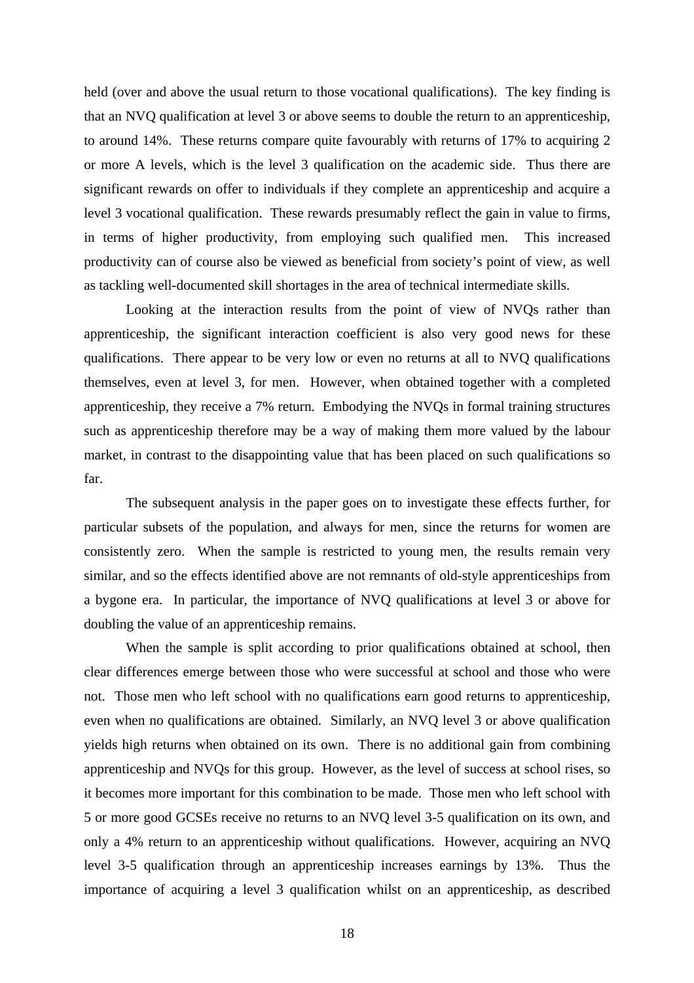held (over and above the usual return to those vocational qualifications). The key finding is that an NVQ qualification at level 3 or above seems to double the return to an apprenticeship, to around 14%. These returns compare quite favourably with returns of 17% to acquiring 2 or more A levels, which is the level 3 qualification on the academic side. Thus there are significant rewards on offer to individuals if they complete an apprenticeship and acquire a level 3 vocational qualification. These rewards presumably reflect the gain in value to firms, in terms of higher productivity, from employing such qualified men. This increased productivity can of course also be viewed as beneficial from society's point of view, as well as tackling well-documented skill shortages in the area of technical intermediate skills.

Looking at the interaction results from the point of view of NVQs rather than apprenticeship, the significant interaction coefficient is also very good news for these qualifications. There appear to be very low or even no returns at all to NVQ qualifications themselves, even at level 3, for men. However, when obtained together with a completed apprenticeship, they receive a 7% return. Embodying the NVQs in formal training structures such as apprenticeship therefore may be a way of making them more valued by the labour market, in contrast to the disappointing value that has been placed on such qualifications so far.

The subsequent analysis in the paper goes on to investigate these effects further, for particular subsets of the population, and always for men, since the returns for women are consistently zero. When the sample is restricted to young men, the results remain very similar, and so the effects identified above are not remnants of old-style apprenticeships from a bygone era. In particular, the importance of NVQ qualifications at level 3 or above for doubling the value of an apprenticeship remains.

When the sample is split according to prior qualifications obtained at school, then clear differences emerge between those who were successful at school and those who were not. Those men who left school with no qualifications earn good returns to apprenticeship, even when no qualifications are obtained. Similarly, an NVQ level 3 or above qualification yields high returns when obtained on its own. There is no additional gain from combining apprenticeship and NVQs for this group. However, as the level of success at school rises, so it becomes more important for this combination to be made. Those men who left school with 5 or more good GCSEs receive no returns to an NVQ level 3-5 qualification on its own, and only a 4% return to an apprenticeship without qualifications. However, acquiring an NVQ level 3-5 qualification through an apprenticeship increases earnings by 13%. Thus the importance of acquiring a level 3 qualification whilst on an apprenticeship, as described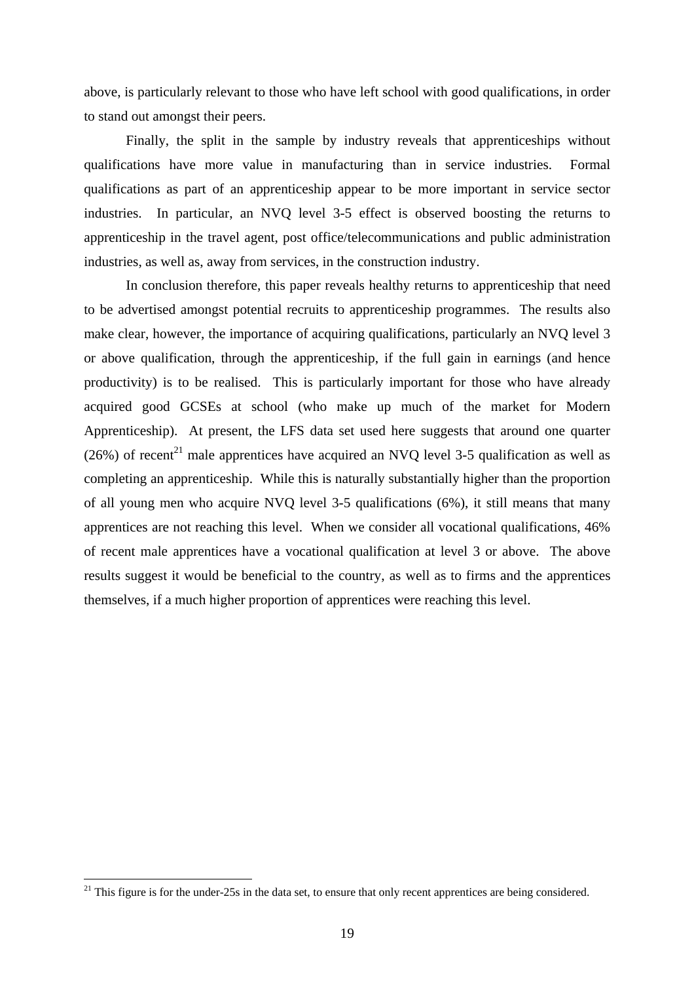above, is particularly relevant to those who have left school with good qualifications, in order to stand out amongst their peers.

Finally, the split in the sample by industry reveals that apprenticeships without qualifications have more value in manufacturing than in service industries. Formal qualifications as part of an apprenticeship appear to be more important in service sector industries. In particular, an NVQ level 3-5 effect is observed boosting the returns to apprenticeship in the travel agent, post office/telecommunications and public administration industries, as well as, away from services, in the construction industry.

In conclusion therefore, this paper reveals healthy returns to apprenticeship that need to be advertised amongst potential recruits to apprenticeship programmes. The results also make clear, however, the importance of acquiring qualifications, particularly an NVQ level 3 or above qualification, through the apprenticeship, if the full gain in earnings (and hence productivity) is to be realised. This is particularly important for those who have already acquired good GCSEs at school (who make up much of the market for Modern Apprenticeship). At present, the LFS data set used here suggests that around one quarter (26%) of recent<sup>21</sup> male apprentices have acquired an NVQ level 3-5 qualification as well as completing an apprenticeship. While this is naturally substantially higher than the proportion of all young men who acquire NVQ level 3-5 qualifications (6%), it still means that many apprentices are not reaching this level. When we consider all vocational qualifications, 46% of recent male apprentices have a vocational qualification at level 3 or above. The above results suggest it would be beneficial to the country, as well as to firms and the apprentices themselves, if a much higher proportion of apprentices were reaching this level.

<span id="page-18-0"></span> $21$  This figure is for the under-25s in the data set, to ensure that only recent apprentices are being considered.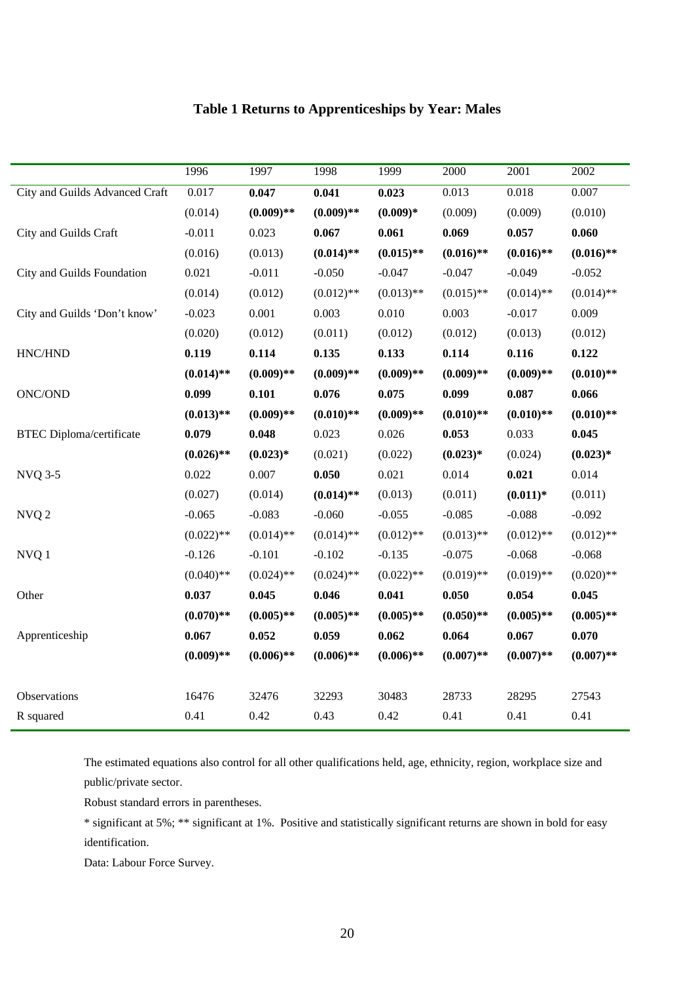|                                 | 1996         | 1997         | 1998         | 1999         | 2000         | 2001         | 2002         |
|---------------------------------|--------------|--------------|--------------|--------------|--------------|--------------|--------------|
| City and Guilds Advanced Craft  | 0.017        | 0.047        | 0.041        | 0.023        | 0.013        | 0.018        | 0.007        |
|                                 | (0.014)      | $(0.009)$ ** | $(0.009)$ ** | $(0.009)*$   | (0.009)      | (0.009)      | (0.010)      |
| City and Guilds Craft           | $-0.011$     | 0.023        | 0.067        | 0.061        | 0.069        | 0.057        | 0.060        |
|                                 | (0.016)      | (0.013)      | $(0.014)$ ** | $(0.015)$ ** | $(0.016)$ ** | $(0.016)$ ** | $(0.016)$ ** |
| City and Guilds Foundation      | 0.021        | $-0.011$     | $-0.050$     | $-0.047$     | $-0.047$     | $-0.049$     | $-0.052$     |
|                                 | (0.014)      | (0.012)      | $(0.012)$ ** | $(0.013)$ ** | $(0.015)$ ** | $(0.014)$ ** | $(0.014)$ ** |
| City and Guilds 'Don't know'    | $-0.023$     | 0.001        | 0.003        | 0.010        | 0.003        | $-0.017$     | 0.009        |
|                                 | (0.020)      | (0.012)      | (0.011)      | (0.012)      | (0.012)      | (0.013)      | (0.012)      |
| HNC/HND                         | 0.119        | 0.114        | 0.135        | 0.133        | 0.114        | 0.116        | 0.122        |
|                                 | $(0.014)$ ** | $(0.009)$ ** | $(0.009)$ ** | $(0.009)$ ** | $(0.009)$ ** | $(0.009)$ ** | $(0.010)$ ** |
| <b>ONC/OND</b>                  | 0.099        | 0.101        | 0.076        | 0.075        | 0.099        | 0.087        | 0.066        |
|                                 | $(0.013)$ ** | $(0.009)$ ** | $(0.010)$ ** | $(0.009)$ ** | $(0.010)$ ** | $(0.010)$ ** | $(0.010)$ ** |
| <b>BTEC Diploma/certificate</b> | 0.079        | 0.048        | 0.023        | 0.026        | 0.053        | 0.033        | 0.045        |
|                                 | $(0.026)$ ** | $(0.023)*$   | (0.021)      | (0.022)      | $(0.023)*$   | (0.024)      | $(0.023)*$   |
| <b>NVQ 3-5</b>                  | 0.022        | 0.007        | 0.050        | 0.021        | 0.014        | 0.021        | 0.014        |
|                                 | (0.027)      | (0.014)      | $(0.014)$ ** | (0.013)      | (0.011)      | $(0.011)*$   | (0.011)      |
| NVQ <sub>2</sub>                | $-0.065$     | $-0.083$     | $-0.060$     | $-0.055$     | $-0.085$     | $-0.088$     | $-0.092$     |
|                                 | $(0.022)$ ** | $(0.014)$ ** | $(0.014)$ ** | $(0.012)$ ** | $(0.013)$ ** | $(0.012)$ ** | $(0.012)$ ** |
| NVQ 1                           | $-0.126$     | $-0.101$     | $-0.102$     | $-0.135$     | $-0.075$     | $-0.068$     | $-0.068$     |
|                                 | $(0.040)$ ** | $(0.024)$ ** | $(0.024)$ ** | $(0.022)$ ** | $(0.019)$ ** | $(0.019)$ ** | $(0.020)$ ** |
| Other                           | 0.037        | 0.045        | 0.046        | 0.041        | 0.050        | 0.054        | 0.045        |
|                                 | $(0.070)$ ** | $(0.005)$ ** | $(0.005)$ ** | $(0.005)$ ** | $(0.050)$ ** | $(0.005)$ ** | $(0.005)$ ** |
| Apprenticeship                  | 0.067        | 0.052        | 0.059        | 0.062        | 0.064        | 0.067        | 0.070        |
|                                 | $(0.009)$ ** | $(0.006)$ ** | $(0.006)$ ** | $(0.006)$ ** | $(0.007)$ ** | $(0.007)$ ** | $(0.007)$ ** |
|                                 |              |              |              |              |              |              |              |
| Observations                    | 16476        | 32476        | 32293        | 30483        | 28733        | 28295        | 27543        |
| R squared                       | 0.41         | 0.42         | 0.43         | 0.42         | 0.41         | 0.41         | 0.41         |

### **Table 1 Returns to Apprenticeships by Year: Males**

The estimated equations also control for all other qualifications held, age, ethnicity, region, workplace size and public/private sector.

Robust standard errors in parentheses.

\* significant at 5%; \*\* significant at 1%. Positive and statistically significant returns are shown in bold for easy identification.

Data: Labour Force Survey.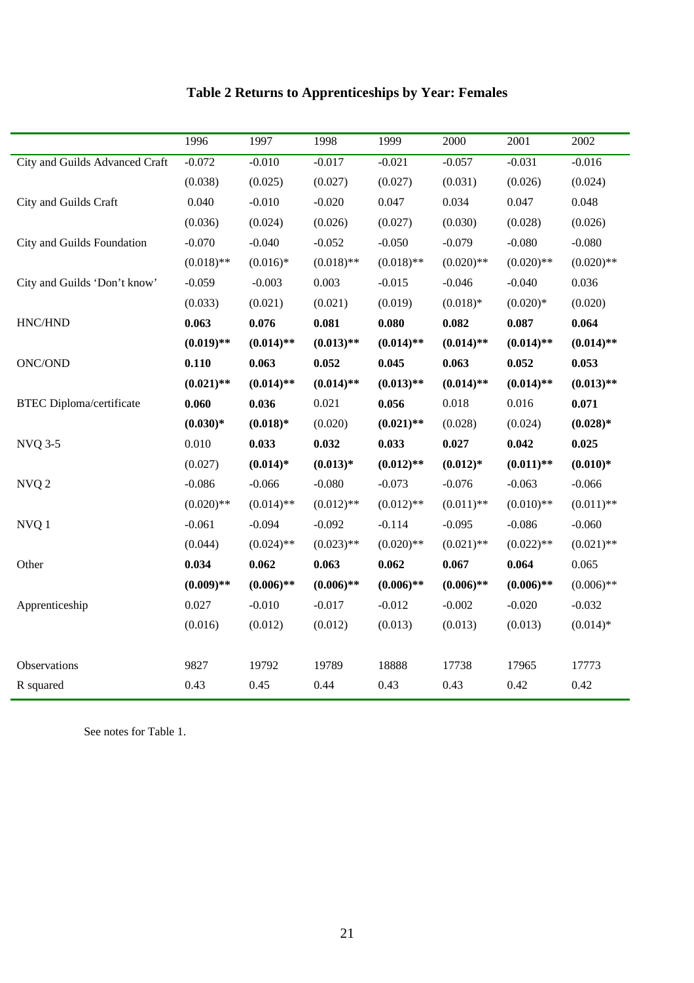|                                 | 1996         | 1997         | 1998         | 1999         | 2000         | 2001         | 2002         |
|---------------------------------|--------------|--------------|--------------|--------------|--------------|--------------|--------------|
| City and Guilds Advanced Craft  | $-0.072$     | $-0.010$     | $-0.017$     | $-0.021$     | $-0.057$     | $-0.031$     | $-0.016$     |
|                                 | (0.038)      | (0.025)      | (0.027)      | (0.027)      | (0.031)      | (0.026)      | (0.024)      |
| City and Guilds Craft           | 0.040        | $-0.010$     | $-0.020$     | 0.047        | 0.034        | 0.047        | 0.048        |
|                                 | (0.036)      | (0.024)      | (0.026)      | (0.027)      | (0.030)      | (0.028)      | (0.026)      |
| City and Guilds Foundation      | $-0.070$     | $-0.040$     | $-0.052$     | $-0.050$     | $-0.079$     | $-0.080$     | $-0.080$     |
|                                 | $(0.018)$ ** | $(0.016)*$   | $(0.018)$ ** | $(0.018)$ ** | $(0.020)$ ** | $(0.020)$ ** | $(0.020)$ ** |
| City and Guilds 'Don't know'    | $-0.059$     | $-0.003$     | 0.003        | $-0.015$     | $-0.046$     | $-0.040$     | 0.036        |
|                                 | (0.033)      | (0.021)      | (0.021)      | (0.019)      | $(0.018)*$   | $(0.020)*$   | (0.020)      |
| HNC/HND                         | 0.063        | 0.076        | 0.081        | 0.080        | 0.082        | 0.087        | 0.064        |
|                                 | $(0.019)$ ** | $(0.014)$ ** | $(0.013)$ ** | $(0.014)$ ** | $(0.014)$ ** | $(0.014)$ ** | $(0.014)$ ** |
| <b>ONC/OND</b>                  | 0.110        | 0.063        | 0.052        | 0.045        | 0.063        | 0.052        | 0.053        |
|                                 | $(0.021)$ ** | $(0.014)$ ** | $(0.014)$ ** | $(0.013)$ ** | $(0.014)$ ** | $(0.014)$ ** | $(0.013)$ ** |
| <b>BTEC</b> Diploma/certificate | 0.060        | 0.036        | 0.021        | 0.056        | 0.018        | 0.016        | 0.071        |
|                                 | $(0.030)*$   | $(0.018)*$   | (0.020)      | $(0.021)$ ** | (0.028)      | (0.024)      | $(0.028)*$   |
| <b>NVQ 3-5</b>                  | 0.010        | 0.033        | 0.032        | 0.033        | 0.027        | 0.042        | 0.025        |
|                                 | (0.027)      | $(0.014)*$   | $(0.013)*$   | $(0.012)$ ** | $(0.012)*$   | $(0.011)$ ** | $(0.010)*$   |
| NVQ <sub>2</sub>                | $-0.086$     | $-0.066$     | $-0.080$     | $-0.073$     | $-0.076$     | $-0.063$     | $-0.066$     |
|                                 | $(0.020)$ ** | $(0.014)$ ** | $(0.012)$ ** | $(0.012)$ ** | $(0.011)$ ** | $(0.010)$ ** | $(0.011)$ ** |
| NVQ 1                           | $-0.061$     | $-0.094$     | $-0.092$     | $-0.114$     | $-0.095$     | $-0.086$     | $-0.060$     |
|                                 | (0.044)      | $(0.024)$ ** | $(0.023)$ ** | $(0.020)$ ** | $(0.021)$ ** | $(0.022)$ ** | $(0.021)$ ** |
| Other                           | 0.034        | 0.062        | 0.063        | 0.062        | 0.067        | 0.064        | 0.065        |
|                                 | $(0.009)$ ** | $(0.006)$ ** | $(0.006)$ ** | $(0.006)$ ** | $(0.006)$ ** | $(0.006)$ ** | $(0.006)$ ** |
| Apprenticeship                  | 0.027        | $-0.010$     | $-0.017$     | $-0.012$     | $-0.002$     | $-0.020$     | $-0.032$     |
|                                 | (0.016)      | (0.012)      | (0.012)      | (0.013)      | (0.013)      | (0.013)      | $(0.014)*$   |
|                                 |              |              |              |              |              |              |              |
| Observations                    | 9827         | 19792        | 19789        | 18888        | 17738        | 17965        | 17773        |
| R squared                       | 0.43         | 0.45         | 0.44         | 0.43         | 0.43         | 0.42         | 0.42         |

# **Table 2 Returns to Apprenticeships by Year: Females**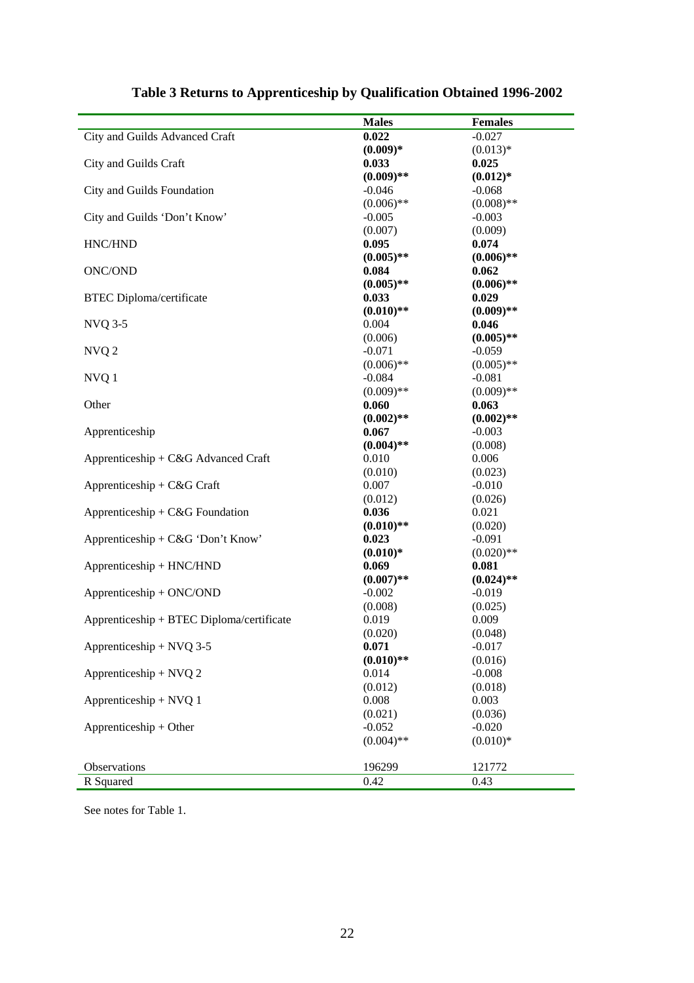|                                           | <b>Males</b> | <b>Females</b> |
|-------------------------------------------|--------------|----------------|
| City and Guilds Advanced Craft            | 0.022        | $-0.027$       |
|                                           | $(0.009)*$   | $(0.013)*$     |
| City and Guilds Craft                     | 0.033        | 0.025          |
|                                           | $(0.009)$ ** | $(0.012)*$     |
| City and Guilds Foundation                | $-0.046$     | $-0.068$       |
|                                           | $(0.006)$ ** | $(0.008)$ **   |
| City and Guilds 'Don't Know'              | $-0.005$     | $-0.003$       |
|                                           | (0.007)      | (0.009)        |
| HNC/HND                                   | 0.095        | 0.074          |
|                                           | $(0.005)$ ** | $(0.006)$ **   |
| ONC/OND                                   | 0.084        | 0.062          |
|                                           | $(0.005)$ ** | $(0.006)$ **   |
| <b>BTEC</b> Diploma/certificate           | 0.033        | 0.029          |
|                                           | $(0.010)$ ** | $(0.009)**$    |
| <b>NVQ 3-5</b>                            | 0.004        | 0.046          |
|                                           | (0.006)      | $(0.005)$ **   |
| NVQ 2                                     | $-0.071$     | $-0.059$       |
|                                           | $(0.006)$ ** | $(0.005)$ **   |
| NVQ 1                                     | $-0.084$     | $-0.081$       |
|                                           | $(0.009)$ ** | $(0.009)$ **   |
| Other                                     | 0.060        | 0.063          |
|                                           | $(0.002)$ ** | $(0.002)$ **   |
| Apprenticeship                            | 0.067        | $-0.003$       |
|                                           | $(0.004)$ ** | (0.008)        |
| Apprenticeship + C&G Advanced Craft       | 0.010        | 0.006          |
|                                           | (0.010)      | (0.023)        |
| Apprenticeship + $C&G$ Craft              | 0.007        | $-0.010$       |
|                                           | (0.012)      | (0.026)        |
| Apprenticeship + $C&G$ Foundation         | 0.036        | 0.021          |
|                                           | $(0.010)$ ** | (0.020)        |
| Apprenticeship + C&G 'Don't Know'         | 0.023        | $-0.091$       |
|                                           | $(0.010)*$   | $(0.020)$ **   |
| Apprenticeship + HNC/HND                  | 0.069        | 0.081          |
|                                           | $(0.007)$ ** | $(0.024)$ **   |
| Apprenticeship + ONC/OND                  | $-0.002$     | $-0.019$       |
|                                           | (0.008)      | (0.025)        |
| Apprenticeship + BTEC Diploma/certificate | 0.019        | 0.009          |
|                                           | (0.020)      | (0.048)        |
| Apprenticeship + NVQ 3-5                  | 0.071        | $-0.017$       |
|                                           | $(0.010)$ ** | (0.016)        |
| Apprenticeship + $NVO$ 2                  | 0.014        | $-0.008$       |
|                                           | (0.012)      | (0.018)        |
| Apprenticeship + NVQ 1                    | 0.008        | 0.003          |
|                                           | (0.021)      | (0.036)        |
| Apprenticeship + Other                    | $-0.052$     | $-0.020$       |
|                                           | $(0.004)$ ** | $(0.010)*$     |
|                                           |              |                |
| Observations                              | 196299       | 121772         |
| R Squared                                 | 0.42         | 0.43           |

# **Table 3 Returns to Apprenticeship by Qualification Obtained 1996-2002**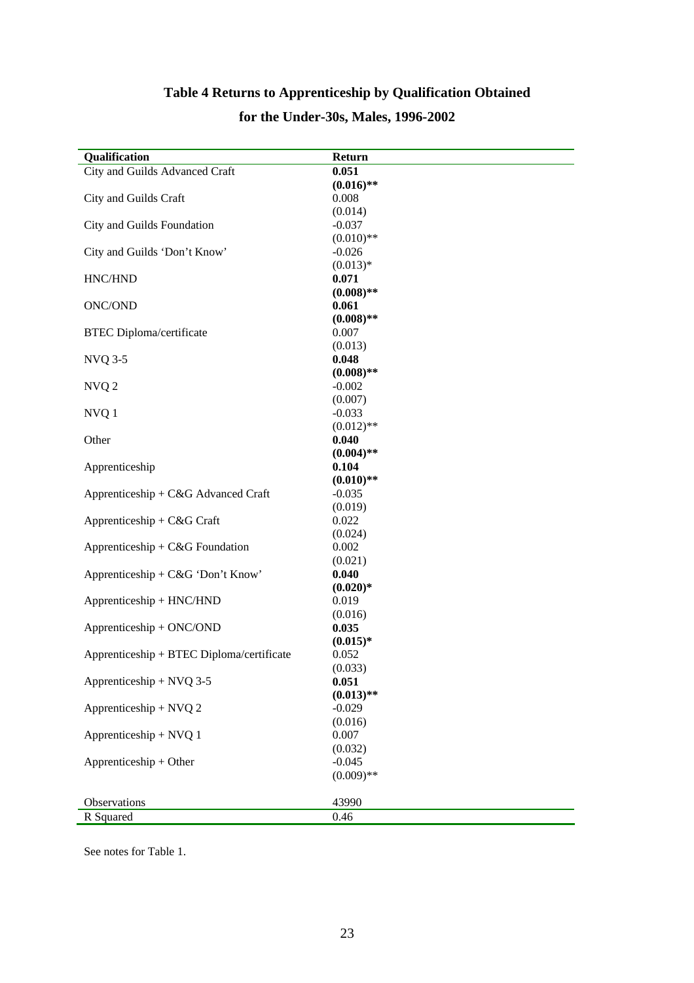# **Table 4 Returns to Apprenticeship by Qualification Obtained**

## **for the Under-30s, Males, 1996-2002**

| Qualification                             | Return           |
|-------------------------------------------|------------------|
| City and Guilds Advanced Craft            | 0.051            |
|                                           | $(0.016)$ **     |
| City and Guilds Craft                     | 0.008            |
|                                           | (0.014)          |
| City and Guilds Foundation                | $-0.037$         |
|                                           | $(0.010)$ **     |
| City and Guilds 'Don't Know'              | $-0.026$         |
|                                           | $(0.013)*$       |
| HNC/HND                                   | 0.071            |
|                                           | $(0.008)$ **     |
| ONC/OND                                   | 0.061            |
|                                           | $(0.008)$ **     |
| <b>BTEC</b> Diploma/certificate           | 0.007            |
|                                           | (0.013)          |
| <b>NVQ 3-5</b>                            | 0.048            |
|                                           | $(0.008)$ **     |
| NVQ <sub>2</sub>                          | $-0.002$         |
|                                           | (0.007)          |
| NVQ 1                                     | $-0.033$         |
|                                           | $(0.012)$ **     |
| Other                                     | 0.040            |
|                                           | $(0.004)$ **     |
| Apprenticeship                            | 0.104            |
|                                           | $(0.010)$ **     |
| Apprenticeship + C&G Advanced Craft       | $-0.035$         |
|                                           | (0.019)          |
| Apprenticeship + C&G Craft                | 0.022            |
|                                           | (0.024)          |
| Apprenticeship + $C&G$ Foundation         | 0.002            |
|                                           | (0.021)          |
|                                           | 0.040            |
| Apprenticeship + C&G 'Don't Know'         | $(0.020)*$       |
| Apprenticeship + HNC/HND                  | 0.019            |
|                                           |                  |
| Apprenticeship + ONC/OND                  | (0.016)<br>0.035 |
|                                           |                  |
|                                           | $(0.015)*$       |
| Apprenticeship + BTEC Diploma/certificate | 0.052            |
|                                           | (0.033)          |
| Apprenticeship + NVQ 3-5                  | 0.051            |
|                                           | $(0.013)$ **     |
| Apprenticeship + NVQ 2                    | $-0.029$         |
|                                           | (0.016)          |
| Apprenticeship + $NVO$ 1                  | 0.007            |
|                                           | (0.032)          |
| Apprenticeship + Other                    | $-0.045$         |
|                                           | $(0.009)$ **     |
|                                           |                  |
| Observations                              | 43990            |
| R Squared                                 | 0.46             |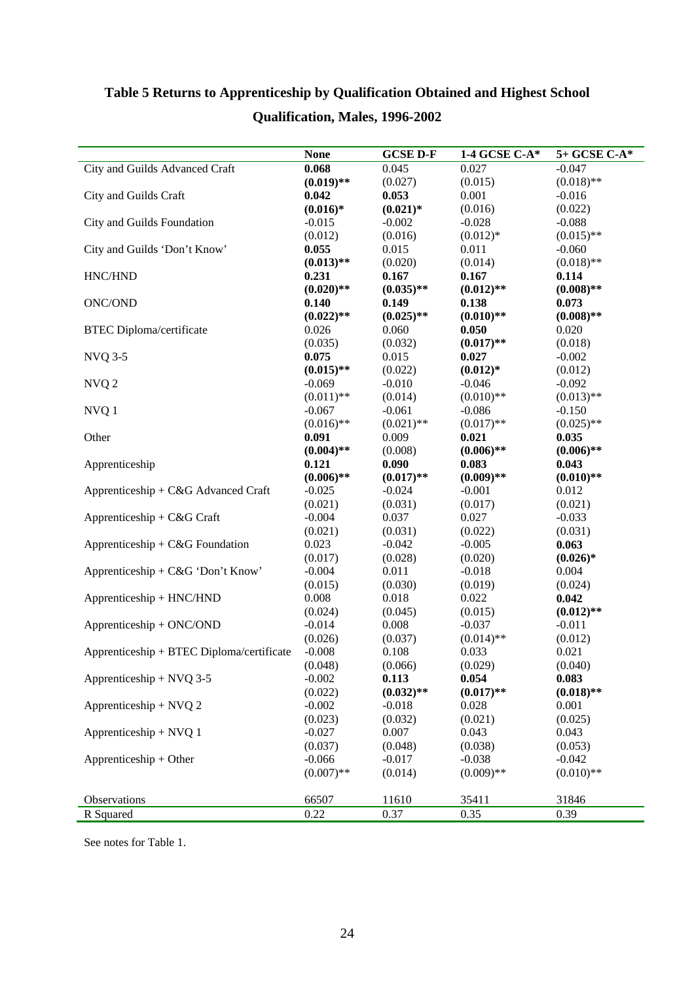|                                           | <b>None</b>  | <b>GCSE D-F</b> | 1-4 GCSE C-A* | 5+ GCSE C-A* |
|-------------------------------------------|--------------|-----------------|---------------|--------------|
| City and Guilds Advanced Craft            | 0.068        | 0.045           | 0.027         | $-0.047$     |
|                                           | $(0.019)$ ** | (0.027)         | (0.015)       | $(0.018)$ ** |
| City and Guilds Craft                     | 0.042        | 0.053           | 0.001         | $-0.016$     |
|                                           | $(0.016)*$   | $(0.021)*$      | (0.016)       | (0.022)      |
| City and Guilds Foundation                | $-0.015$     | $-0.002$        | $-0.028$      | $-0.088$     |
|                                           | (0.012)      | (0.016)         | $(0.012)*$    | $(0.015)$ ** |
| City and Guilds 'Don't Know'              | 0.055        | 0.015           | 0.011         | $-0.060$     |
|                                           | $(0.013)$ ** | (0.020)         | (0.014)       | $(0.018)$ ** |
| HNC/HND                                   | 0.231        | 0.167           | 0.167         | 0.114        |
|                                           | $(0.020)$ ** | $(0.035)$ **    | $(0.012)$ **  | $(0.008)$ ** |
| ONC/OND                                   | 0.140        | 0.149           | 0.138         | 0.073        |
|                                           | $(0.022)$ ** | $(0.025)$ **    | $(0.010)$ **  | $(0.008)$ ** |
| <b>BTEC Diploma/certificate</b>           | 0.026        | 0.060           | 0.050         | 0.020        |
|                                           | (0.035)      | (0.032)         | $(0.017)$ **  | (0.018)      |
| <b>NVQ 3-5</b>                            | 0.075        | 0.015           | 0.027         | $-0.002$     |
|                                           | $(0.015)$ ** | (0.022)         | $(0.012)*$    | (0.012)      |
| NVQ 2                                     | $-0.069$     | $-0.010$        | $-0.046$      | $-0.092$     |
|                                           | $(0.011)$ ** | (0.014)         | $(0.010)$ **  | $(0.013)$ ** |
| NVQ 1                                     | $-0.067$     | $-0.061$        | $-0.086$      | $-0.150$     |
|                                           | $(0.016)$ ** | $(0.021)$ **    | $(0.017)$ **  | $(0.025)$ ** |
| Other                                     | 0.091        | 0.009           | 0.021         | 0.035        |
|                                           | $(0.004)$ ** | (0.008)         | $(0.006)$ **  | $(0.006)$ ** |
| Apprenticeship                            | 0.121        | 0.090           | 0.083         | 0.043        |
|                                           | $(0.006)$ ** | $(0.017)$ **    | $(0.009)$ **  | $(0.010)$ ** |
| Apprenticeship + C&G Advanced Craft       | $-0.025$     | $-0.024$        | $-0.001$      | 0.012        |
|                                           | (0.021)      | (0.031)         | (0.017)       | (0.021)      |
| Apprenticeship + $C&G$ Craft              | $-0.004$     | 0.037           | 0.027         | $-0.033$     |
|                                           | (0.021)      | (0.031)         | (0.022)       | (0.031)      |
| Apprenticeship + $C&G$ Foundation         | 0.023        | $-0.042$        | $-0.005$      | 0.063        |
|                                           | (0.017)      | (0.028)         | (0.020)       | $(0.026)*$   |
| Apprenticeship + C&G 'Don't Know'         | $-0.004$     | 0.011           | $-0.018$      | 0.004        |
|                                           | (0.015)      | (0.030)         | (0.019)       | (0.024)      |
| Apprenticeship + HNC/HND                  | 0.008        | 0.018           | 0.022         | 0.042        |
|                                           | (0.024)      | (0.045)         | (0.015)       | $(0.012)$ ** |
| Apprenticeship + ONC/OND                  | $-0.014$     | 0.008           | $-0.037$      | $-0.011$     |
|                                           | (0.026)      | (0.037)         | $(0.014)$ **  | (0.012)      |
| Apprenticeship + BTEC Diploma/certificate | $-0.008$     | 0.108           | 0.033         | 0.021        |
|                                           | (0.048)      | (0.066)         | (0.029)       | (0.040)      |
| Apprenticeship + NVQ 3-5                  | $-0.002$     | 0.113           | 0.054         | 0.083        |
|                                           | (0.022)      | $(0.032)$ **    | $(0.017)$ **  | $(0.018)$ ** |
| Apprenticeship + $NVO$ 2                  | $-0.002$     | $-0.018$        | 0.028         | 0.001        |
|                                           | (0.023)      | (0.032)         | (0.021)       | (0.025)      |
| Apprenticeship + $NVO$ 1                  | $-0.027$     | 0.007           | 0.043         | 0.043        |
|                                           | (0.037)      | (0.048)         | (0.038)       | (0.053)      |
| Apprenticeship + Other                    | $-0.066$     | $-0.017$        | $-0.038$      | $-0.042$     |
|                                           | $(0.007)$ ** | (0.014)         | $(0.009)$ **  | $(0.010)$ ** |
|                                           |              |                 |               |              |
| Observations                              | 66507        | 11610           | 35411         | 31846        |
| R Squared                                 | 0.22         | 0.37            | 0.35          | 0.39         |

# **Table 5 Returns to Apprenticeship by Qualification Obtained and Highest School Qualification, Males, 1996-2002**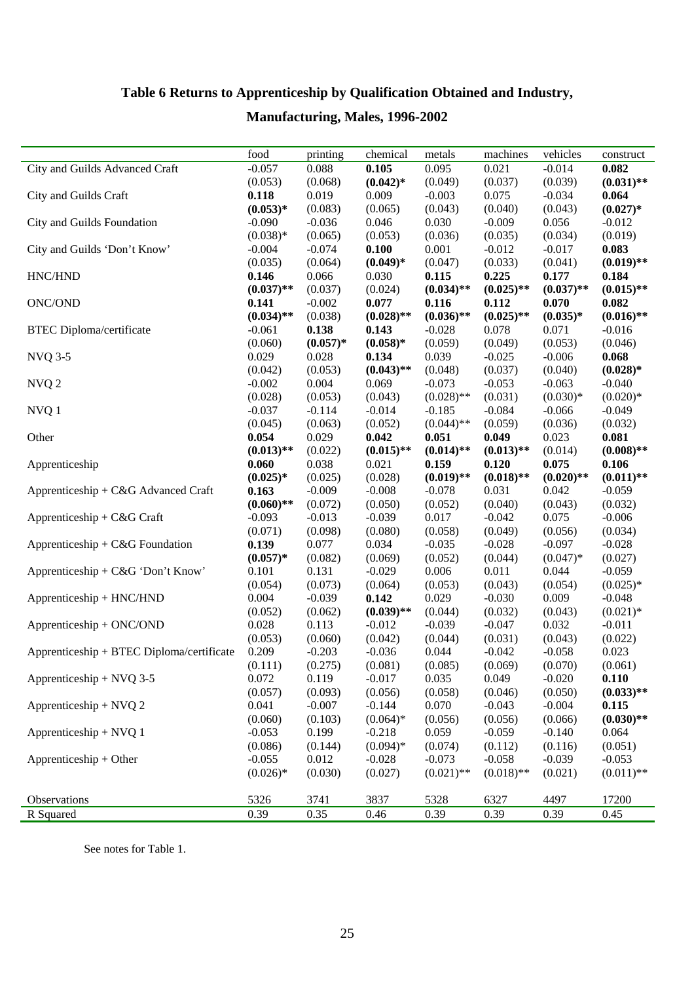## **Table 6 Returns to Apprenticeship by Qualification Obtained and Industry,**

## **Manufacturing, Males, 1996-2002**

|                                           | food         | printing   | chemical     | metals       | machines     | vehicles     | construct    |
|-------------------------------------------|--------------|------------|--------------|--------------|--------------|--------------|--------------|
| City and Guilds Advanced Craft            | $-0.057$     | 0.088      | 0.105        | 0.095        | 0.021        | $-0.014$     | 0.082        |
|                                           | (0.053)      | (0.068)    | $(0.042)*$   | (0.049)      | (0.037)      | (0.039)      | $(0.031)$ ** |
| City and Guilds Craft                     | 0.118        | 0.019      | 0.009        | $-0.003$     | 0.075        | $-0.034$     | 0.064        |
|                                           | $(0.053)*$   | (0.083)    | (0.065)      | (0.043)      | (0.040)      | (0.043)      | $(0.027)*$   |
| City and Guilds Foundation                | $-0.090$     | $-0.036$   | 0.046        | 0.030        | $-0.009$     | 0.056        | $-0.012$     |
|                                           | $(0.038)*$   | (0.065)    | (0.053)      | (0.036)      | (0.035)      | (0.034)      | (0.019)      |
| City and Guilds 'Don't Know'              | $-0.004$     | $-0.074$   | 0.100        | 0.001        | $-0.012$     | $-0.017$     | 0.083        |
|                                           | (0.035)      | (0.064)    | $(0.049)*$   | (0.047)      | (0.033)      | (0.041)      | $(0.019)$ ** |
| HNC/HND                                   | 0.146        | 0.066      | 0.030        | 0.115        | 0.225        | 0.177        | 0.184        |
|                                           | $(0.037)$ ** | (0.037)    | (0.024)      | $(0.034)$ ** | $(0.025)$ ** | $(0.037)$ ** | $(0.015)$ ** |
| <b>ONC/OND</b>                            | 0.141        | $-0.002$   | 0.077        | 0.116        | 0.112        | 0.070        | 0.082        |
|                                           | $(0.034)$ ** | (0.038)    | $(0.028)$ ** | $(0.036)$ ** | $(0.025)$ ** | $(0.035)*$   | $(0.016)$ ** |
| <b>BTEC</b> Diploma/certificate           | $-0.061$     | 0.138      | 0.143        | $-0.028$     | 0.078        | 0.071        | $-0.016$     |
|                                           | (0.060)      | $(0.057)*$ | $(0.058)*$   | (0.059)      | (0.049)      | (0.053)      | (0.046)      |
| <b>NVQ 3-5</b>                            | 0.029        | 0.028      | 0.134        | 0.039        | $-0.025$     | $-0.006$     | 0.068        |
|                                           | (0.042)      | (0.053)    | $(0.043)$ ** | (0.048)      | (0.037)      | (0.040)      | $(0.028)*$   |
| NVQ 2                                     | $-0.002$     | 0.004      | 0.069        | $-0.073$     | $-0.053$     | $-0.063$     | $-0.040$     |
|                                           | (0.028)      | (0.053)    | (0.043)      | $(0.028)$ ** | (0.031)      | $(0.030)*$   | $(0.020)*$   |
| NVQ 1                                     | $-0.037$     | $-0.114$   | $-0.014$     | $-0.185$     | $-0.084$     | $-0.066$     | $-0.049$     |
|                                           | (0.045)      | (0.063)    | (0.052)      | $(0.044)$ ** | (0.059)      | (0.036)      | (0.032)      |
| Other                                     | 0.054        | 0.029      | 0.042        | 0.051        | 0.049        | 0.023        | 0.081        |
|                                           | $(0.013)$ ** | (0.022)    | $(0.015)$ ** | $(0.014)$ ** | $(0.013)$ ** | (0.014)      | $(0.008)$ ** |
| Apprenticeship                            | 0.060        | 0.038      | 0.021        | 0.159        | 0.120        | 0.075        | 0.106        |
|                                           | $(0.025)*$   | (0.025)    | (0.028)      | $(0.019)$ ** | $(0.018)$ ** | $(0.020)$ ** | $(0.011)$ ** |
| Apprenticeship + C&G Advanced Craft       | 0.163        | $-0.009$   | $-0.008$     | $-0.078$     | 0.031        | 0.042        | $-0.059$     |
|                                           | $(0.060)$ ** | (0.072)    | (0.050)      | (0.052)      | (0.040)      | (0.043)      | (0.032)      |
| Apprenticeship + $C&G$ Craft              | $-0.093$     | $-0.013$   | $-0.039$     | 0.017        | $-0.042$     | 0.075        | $-0.006$     |
|                                           | (0.071)      | (0.098)    | (0.080)      | (0.058)      | (0.049)      | (0.056)      | (0.034)      |
| Apprenticeship + $C&G$ Foundation         | 0.139        | 0.077      | 0.034        | $-0.035$     | $-0.028$     | $-0.097$     | $-0.028$     |
|                                           | $(0.057)*$   | (0.082)    | (0.069)      | (0.052)      | (0.044)      | $(0.047)^*$  | (0.027)      |
| Apprenticeship + C&G 'Don't Know'         | 0.101        | 0.131      | $-0.029$     | 0.006        | 0.011        | 0.044        | $-0.059$     |
|                                           | (0.054)      | (0.073)    | (0.064)      | (0.053)      | (0.043)      | (0.054)      | $(0.025)*$   |
| Apprenticeship + HNC/HND                  | 0.004        | $-0.039$   | 0.142        | 0.029        | $-0.030$     | 0.009        | $-0.048$     |
|                                           | (0.052)      | (0.062)    | $(0.039)$ ** | (0.044)      | (0.032)      | (0.043)      | $(0.021)$ *  |
| Apprenticeship + ONC/OND                  | 0.028        | 0.113      | $-0.012$     | $-0.039$     | $-0.047$     | 0.032        | $-0.011$     |
|                                           | (0.053)      | (0.060)    | (0.042)      | (0.044)      | (0.031)      | (0.043)      | (0.022)      |
| Apprenticeship + BTEC Diploma/certificate | 0.209        | $-0.203$   | $-0.036$     | 0.044        | $-0.042$     | $-0.058$     | 0.023        |
|                                           | (0.111)      | (0.275)    | (0.081)      | (0.085)      | (0.069)      | (0.070)      | (0.061)      |
| Apprenticeship + NVQ 3-5                  | 0.072        | 0.119      | $-0.017$     | 0.035        | 0.049        | $-0.020$     | 0.110        |
|                                           | (0.057)      | (0.093)    | (0.056)      | (0.058)      | (0.046)      | (0.050)      | $(0.033)$ ** |
| Apprenticeship + NVQ $2$                  | 0.041        | $-0.007$   | $-0.144$     | 0.070        | $-0.043$     | $-0.004$     | 0.115        |
|                                           | (0.060)      | (0.103)    | $(0.064)*$   | (0.056)      | (0.056)      | (0.066)      | $(0.030)$ ** |
| Apprenticeship + $NVO$ 1                  | $-0.053$     | 0.199      | $-0.218$     | 0.059        | $-0.059$     | $-0.140$     | 0.064        |
|                                           | (0.086)      | (0.144)    | $(0.094)*$   | (0.074)      | (0.112)      | (0.116)      | (0.051)      |
| $Apprenticeship + Other$                  | $-0.055$     | 0.012      | $-0.028$     | $-0.073$     | $-0.058$     | $-0.039$     | $-0.053$     |
|                                           | $(0.026)*$   | (0.030)    | (0.027)      | $(0.021)$ ** | $(0.018)$ ** | (0.021)      | $(0.011)$ ** |
|                                           |              |            |              |              |              |              |              |
| Observations                              | 5326         | 3741       | 3837         | 5328         | 6327         | 4497         | 17200        |
| R Squared                                 | 0.39         | 0.35       | 0.46         | 0.39         | 0.39         | 0.39         | 0.45         |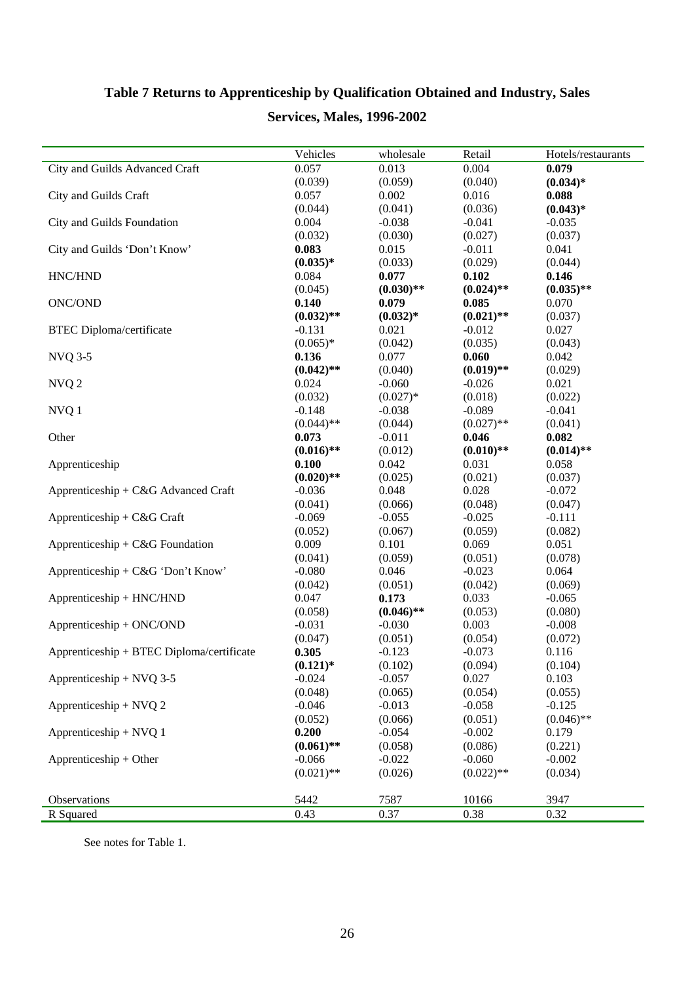## **Table 7 Returns to Apprenticeship by Qualification Obtained and Industry, Sales**

## **Services, Males, 1996-2002**

|                                           | Vehicles     | wholesale    | Retail       | Hotels/restaurants |
|-------------------------------------------|--------------|--------------|--------------|--------------------|
| City and Guilds Advanced Craft            | 0.057        | 0.013        | 0.004        | 0.079              |
|                                           | (0.039)      | (0.059)      | (0.040)      | $(0.034)*$         |
| City and Guilds Craft                     | 0.057        | 0.002        | 0.016        | 0.088              |
|                                           | (0.044)      | (0.041)      | (0.036)      | $(0.043)*$         |
| City and Guilds Foundation                | 0.004        | $-0.038$     | $-0.041$     | $-0.035$           |
|                                           | (0.032)      | (0.030)      | (0.027)      | (0.037)            |
| City and Guilds 'Don't Know'              | 0.083        | 0.015        | $-0.011$     | 0.041              |
|                                           | $(0.035)*$   | (0.033)      | (0.029)      | (0.044)            |
| HNC/HND                                   | 0.084        | 0.077        | 0.102        | 0.146              |
|                                           | (0.045)      | $(0.030)$ ** | $(0.024)$ ** | $(0.035)$ **       |
| ONC/OND                                   | 0.140        | 0.079        | 0.085        | 0.070              |
|                                           | $(0.032)$ ** | $(0.032)*$   | $(0.021)$ ** | (0.037)            |
| <b>BTEC</b> Diploma/certificate           | $-0.131$     | 0.021        | $-0.012$     | 0.027              |
|                                           | $(0.065)*$   | (0.042)      | (0.035)      | (0.043)            |
| <b>NVQ 3-5</b>                            | 0.136        | 0.077        | 0.060        | 0.042              |
|                                           | $(0.042)$ ** | (0.040)      | $(0.019)$ ** | (0.029)            |
| NVQ <sub>2</sub>                          | 0.024        | $-0.060$     | $-0.026$     | 0.021              |
|                                           | (0.032)      | $(0.027)*$   | (0.018)      | (0.022)            |
| NVQ 1                                     | $-0.148$     | $-0.038$     | $-0.089$     | $-0.041$           |
|                                           | $(0.044)$ ** | (0.044)      | $(0.027)$ ** | (0.041)            |
| Other                                     | 0.073        | $-0.011$     | 0.046        | 0.082              |
|                                           | $(0.016)$ ** | (0.012)      | $(0.010)$ ** | $(0.014)$ **       |
| Apprenticeship                            | 0.100        | 0.042        | 0.031        | 0.058              |
|                                           | $(0.020)$ ** | (0.025)      | (0.021)      | (0.037)            |
| Apprenticeship + C&G Advanced Craft       | $-0.036$     | 0.048        | 0.028        | $-0.072$           |
|                                           | (0.041)      | (0.066)      | (0.048)      | (0.047)            |
| Apprenticeship + $C&G$ Craft              | $-0.069$     | $-0.055$     | $-0.025$     | $-0.111$           |
|                                           | (0.052)      | (0.067)      | (0.059)      | (0.082)            |
| Apprenticeship + $C&G$ Foundation         | 0.009        | 0.101        | 0.069        | 0.051              |
|                                           | (0.041)      | (0.059)      | (0.051)      | (0.078)            |
| Apprenticeship + C&G 'Don't Know'         | $-0.080$     | 0.046        | $-0.023$     | 0.064              |
|                                           | (0.042)      | (0.051)      | (0.042)      | (0.069)            |
| Apprenticeship + HNC/HND                  | 0.047        | 0.173        | 0.033        | $-0.065$           |
|                                           | (0.058)      | $(0.046)$ ** | (0.053)      | (0.080)            |
| Apprenticeship + ONC/OND                  | $-0.031$     | $-0.030$     | 0.003        | $-0.008$           |
|                                           | (0.047)      | (0.051)      | (0.054)      | (0.072)            |
| Apprenticeship + BTEC Diploma/certificate | 0.305        | $-0.123$     | $-0.073$     | 0.116              |
|                                           | $(0.121)*$   | (0.102)      | (0.094)      | (0.104)            |
| Apprenticeship + NVQ 3-5                  | $-0.024$     | $-0.057$     | 0.027        | 0.103              |
|                                           | (0.048)      | (0.065)      | (0.054)      | (0.055)            |
| Apprenticeship + NVQ 2                    | $-0.046$     | $-0.013$     | $-0.058$     | $-0.125$           |
|                                           | (0.052)      | (0.066)      | (0.051)      | $(0.046)$ **       |
| Apprenticeship + $NVO$ 1                  | 0.200        | $-0.054$     | $-0.002$     | 0.179              |
|                                           | $(0.061)$ ** | (0.058)      | (0.086)      | (0.221)            |
| Apprenticeship + Other                    | $-0.066$     | $-0.022$     | $-0.060$     | $-0.002$           |
|                                           | $(0.021)$ ** | (0.026)      | $(0.022)$ ** | (0.034)            |
|                                           |              |              |              |                    |
| Observations                              | 5442         | 7587         | 10166        | 3947               |
| R Squared                                 | 0.43         | 0.37         | 0.38         | 0.32               |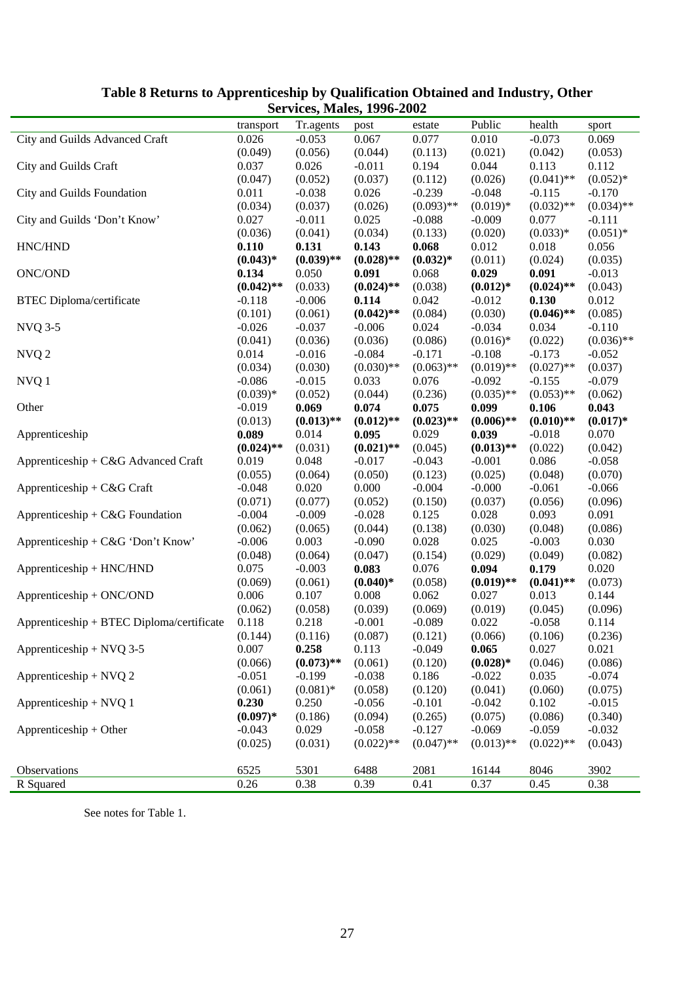|                                           |              |              | $0 \cup 1$ victs, ividits, 1990-2002 |              |              |              |              |
|-------------------------------------------|--------------|--------------|--------------------------------------|--------------|--------------|--------------|--------------|
|                                           | transport    | Tr.agents    | post                                 | estate       | Public       | health       | sport        |
| City and Guilds Advanced Craft            | 0.026        | $-0.053$     | 0.067                                | 0.077        | 0.010        | $-0.073$     | 0.069        |
|                                           | (0.049)      | (0.056)      | (0.044)                              | (0.113)      | (0.021)      | (0.042)      | (0.053)      |
| City and Guilds Craft                     | 0.037        | 0.026        | $-0.011$                             | 0.194        | 0.044        | 0.113        | 0.112        |
|                                           | (0.047)      | (0.052)      | (0.037)                              | (0.112)      | (0.026)      | $(0.041)$ ** | $(0.052)*$   |
| City and Guilds Foundation                | 0.011        | $-0.038$     | 0.026                                | $-0.239$     | $-0.048$     | $-0.115$     | $-0.170$     |
|                                           | (0.034)      | (0.037)      | (0.026)                              | $(0.093)$ ** | $(0.019)*$   | $(0.032)$ ** | $(0.034)$ ** |
| City and Guilds 'Don't Know'              | 0.027        | $-0.011$     | 0.025                                | $-0.088$     | $-0.009$     | 0.077        | $-0.111$     |
|                                           | (0.036)      | (0.041)      | (0.034)                              | (0.133)      | (0.020)      | $(0.033)*$   | $(0.051)*$   |
| HNC/HND                                   | 0.110        | 0.131        | 0.143                                | 0.068        | 0.012        | 0.018        | 0.056        |
|                                           | $(0.043)*$   | $(0.039)$ ** | $(0.028)$ **                         | $(0.032)*$   | (0.011)      | (0.024)      | (0.035)      |
| ONC/OND                                   | 0.134        | 0.050        | 0.091                                | 0.068        | 0.029        | 0.091        | $-0.013$     |
|                                           | $(0.042)$ ** | (0.033)      | $(0.024)$ **                         | (0.038)      | $(0.012)*$   | $(0.024)$ ** | (0.043)      |
| <b>BTEC</b> Diploma/certificate           | $-0.118$     | $-0.006$     | 0.114                                | 0.042        | $-0.012$     | 0.130        | 0.012        |
|                                           | (0.101)      | (0.061)      | $(0.042)$ **                         | (0.084)      | (0.030)      | $(0.046)$ ** | (0.085)      |
| <b>NVQ 3-5</b>                            | $-0.026$     | $-0.037$     | $-0.006$                             | 0.024        | $-0.034$     | 0.034        | $-0.110$     |
|                                           | (0.041)      | (0.036)      | (0.036)                              | (0.086)      | $(0.016)*$   | (0.022)      | $(0.036)$ ** |
|                                           | 0.014        | $-0.016$     | $-0.084$                             | $-0.171$     | $-0.108$     | $-0.173$     | $-0.052$     |
| NVQ <sub>2</sub>                          | (0.034)      | (0.030)      | $(0.030)$ **                         | $(0.063)$ ** | $(0.019)**$  | $(0.027)$ ** | (0.037)      |
|                                           |              |              |                                      |              |              | $-0.155$     |              |
| NVQ 1                                     | $-0.086$     | $-0.015$     | 0.033                                | 0.076        | $-0.092$     |              | $-0.079$     |
|                                           | $(0.039)*$   | (0.052)      | (0.044)                              | (0.236)      | $(0.035)$ ** | $(0.053)$ ** | (0.062)      |
| Other                                     | $-0.019$     | 0.069        | 0.074                                | 0.075        | 0.099        | 0.106        | 0.043        |
|                                           | (0.013)      | $(0.013)$ ** | $(0.012)$ **                         | $(0.023)$ ** | $(0.006)$ ** | $(0.010)$ ** | $(0.017)*$   |
| Apprenticeship                            | 0.089        | 0.014        | 0.095                                | 0.029        | 0.039        | $-0.018$     | 0.070        |
|                                           | $(0.024)$ ** | (0.031)      | $(0.021)$ **                         | (0.045)      | $(0.013)$ ** | (0.022)      | (0.042)      |
| Apprenticeship + C&G Advanced Craft       | 0.019        | 0.048        | $-0.017$                             | $-0.043$     | $-0.001$     | 0.086        | $-0.058$     |
|                                           | (0.055)      | (0.064)      | (0.050)                              | (0.123)      | (0.025)      | (0.048)      | (0.070)      |
| Apprenticeship + $C&G$ Craft              | $-0.048$     | 0.020        | 0.000                                | $-0.004$     | $-0.000$     | $-0.061$     | $-0.066$     |
|                                           | (0.071)      | (0.077)      | (0.052)                              | (0.150)      | (0.037)      | (0.056)      | (0.096)      |
| Apprenticeship + $C&G$ Foundation         | $-0.004$     | $-0.009$     | $-0.028$                             | 0.125        | 0.028        | 0.093        | 0.091        |
|                                           | (0.062)      | (0.065)      | (0.044)                              | (0.138)      | (0.030)      | (0.048)      | (0.086)      |
| Apprenticeship + C&G 'Don't Know'         | $-0.006$     | 0.003        | $-0.090$                             | 0.028        | 0.025        | $-0.003$     | 0.030        |
|                                           | (0.048)      | (0.064)      | (0.047)                              | (0.154)      | (0.029)      | (0.049)      | (0.082)      |
| Apprenticeship + HNC/HND                  | 0.075        | $-0.003$     | 0.083                                | 0.076        | 0.094        | 0.179        | 0.020        |
|                                           | (0.069)      | (0.061)      | $(0.040)*$                           | (0.058)      | $(0.019)$ ** | $(0.041)$ ** | (0.073)      |
| Apprenticeship + ONC/OND                  | 0.006        | 0.107        | 0.008                                | 0.062        | 0.027        | 0.013        | 0.144        |
|                                           | (0.062)      | (0.058)      | (0.039)                              | (0.069)      | (0.019)      | (0.045)      | (0.096)      |
| Apprenticeship + BTEC Diploma/certificate | 0.118        | 0.218        | $-0.001$                             | $-0.089$     | 0.022        | $-0.058$     | 0.114        |
|                                           | (0.144)      | (0.116)      | (0.087)                              | (0.121)      | (0.066)      | (0.106)      | (0.236)      |
| Apprenticeship + NVQ 3-5                  | 0.007        | 0.258        | 0.113                                | $-0.049$     | 0.065        | 0.027        | 0.021        |
|                                           | (0.066)      | $(0.073)$ ** | (0.061)                              | (0.120)      | $(0.028)*$   | (0.046)      | (0.086)      |
| Apprenticeship + $NVO$ 2                  | $-0.051$     | $-0.199$     | $-0.038$                             | 0.186        | $-0.022$     | 0.035        | $-0.074$     |
|                                           | (0.061)      | $(0.081)*$   | (0.058)                              | (0.120)      | (0.041)      | (0.060)      | (0.075)      |
| Apprenticeship + $NVO$ 1                  | 0.230        | 0.250        | $-0.056$                             | $-0.101$     | $-0.042$     | 0.102        | $-0.015$     |
|                                           | $(0.097)*$   | (0.186)      | (0.094)                              | (0.265)      | (0.075)      | (0.086)      | (0.340)      |
| $Apprenticeship + Other$                  | $-0.043$     | 0.029        | $-0.058$                             | $-0.127$     | $-0.069$     | $-0.059$     | $-0.032$     |
|                                           | (0.025)      | (0.031)      | $(0.022)$ **                         | $(0.047)$ ** | $(0.013)$ ** | $(0.022)$ ** | (0.043)      |
|                                           |              |              |                                      |              |              |              |              |
| Observations                              | 6525         | 5301         | 6488                                 | 2081         | 16144        | 8046         | 3902         |
|                                           |              |              |                                      |              |              |              |              |
| R Squared                                 | 0.26         | 0.38         | 0.39                                 | 0.41         | 0.37         | 0.45         | 0.38         |

### **Table 8 Returns to Apprenticeship by Qualification Obtained and Industry, Other Services, Males, 1996-2002**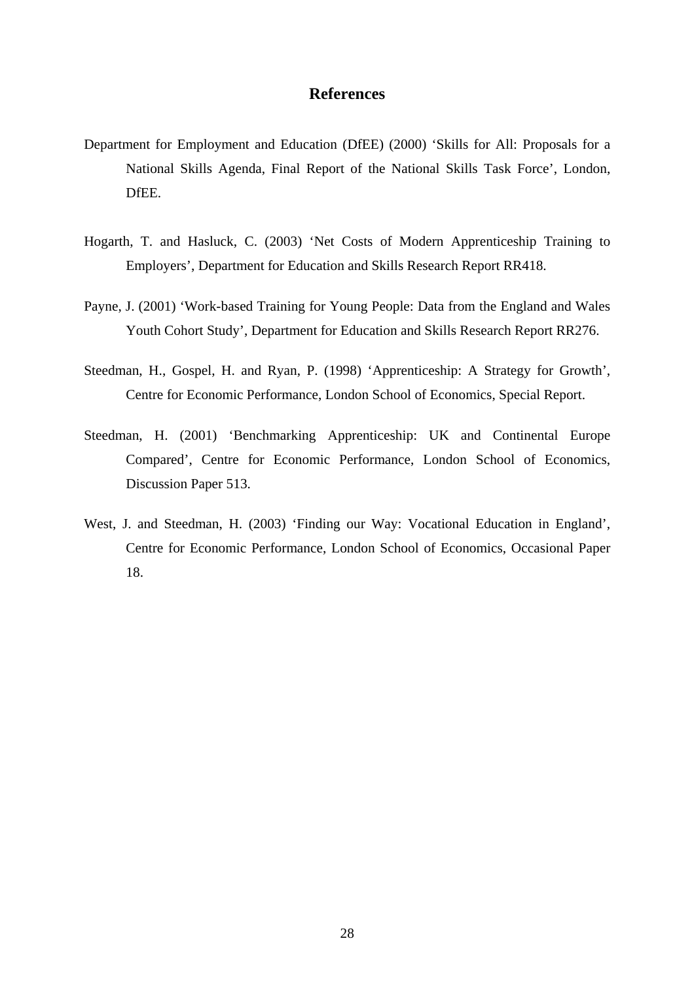### **References**

- Department for Employment and Education (DfEE) (2000) 'Skills for All: Proposals for a National Skills Agenda, Final Report of the National Skills Task Force', London, DfEE.
- Hogarth, T. and Hasluck, C. (2003) 'Net Costs of Modern Apprenticeship Training to Employers', Department for Education and Skills Research Report RR418.
- Payne, J. (2001) 'Work-based Training for Young People: Data from the England and Wales Youth Cohort Study', Department for Education and Skills Research Report RR276.
- Steedman, H., Gospel, H. and Ryan, P. (1998) 'Apprenticeship: A Strategy for Growth', Centre for Economic Performance, London School of Economics, Special Report.
- Steedman, H. (2001) 'Benchmarking Apprenticeship: UK and Continental Europe Compared', Centre for Economic Performance, London School of Economics, Discussion Paper 513.
- West, J. and Steedman, H. (2003) 'Finding our Way: Vocational Education in England', Centre for Economic Performance, London School of Economics, Occasional Paper 18.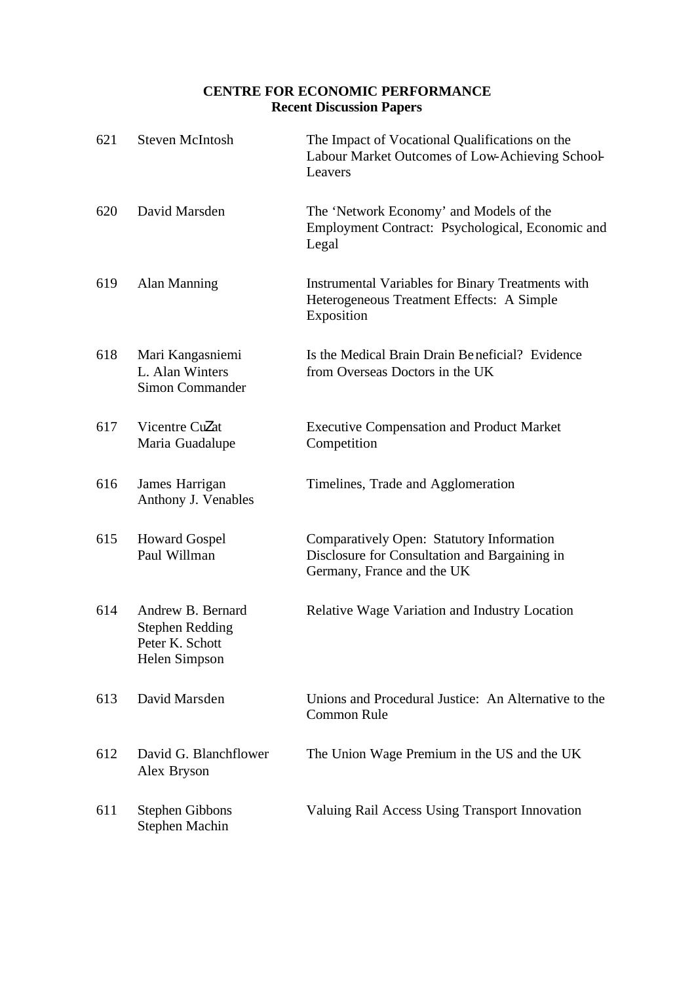### **CENTRE FOR ECONOMIC PERFORMANCE Recent Discussion Papers**

| 621 | <b>Steven McIntosh</b>                                                          | The Impact of Vocational Qualifications on the<br>Labour Market Outcomes of Low-Achieving School-<br>Leavers             |
|-----|---------------------------------------------------------------------------------|--------------------------------------------------------------------------------------------------------------------------|
| 620 | David Marsden                                                                   | The 'Network Economy' and Models of the<br>Employment Contract: Psychological, Economic and<br>Legal                     |
| 619 | Alan Manning                                                                    | <b>Instrumental Variables for Binary Treatments with</b><br>Heterogeneous Treatment Effects: A Simple<br>Exposition      |
| 618 | Mari Kangasniemi<br>L. Alan Winters<br>Simon Commander                          | Is the Medical Brain Drain Beneficial? Evidence<br>from Overseas Doctors in the UK                                       |
| 617 | Vicentre CuZat<br>Maria Guadalupe                                               | <b>Executive Compensation and Product Market</b><br>Competition                                                          |
| 616 | James Harrigan<br>Anthony J. Venables                                           | Timelines, Trade and Agglomeration                                                                                       |
| 615 | <b>Howard Gospel</b><br>Paul Willman                                            | Comparatively Open: Statutory Information<br>Disclosure for Consultation and Bargaining in<br>Germany, France and the UK |
| 614 | Andrew B. Bernard<br><b>Stephen Redding</b><br>Peter K. Schott<br>Helen Simpson | Relative Wage Variation and Industry Location                                                                            |
| 613 | David Marsden                                                                   | Unions and Procedural Justice: An Alternative to the<br><b>Common Rule</b>                                               |
| 612 | David G. Blanchflower<br>Alex Bryson                                            | The Union Wage Premium in the US and the UK                                                                              |
| 611 | <b>Stephen Gibbons</b><br>Stephen Machin                                        | Valuing Rail Access Using Transport Innovation                                                                           |